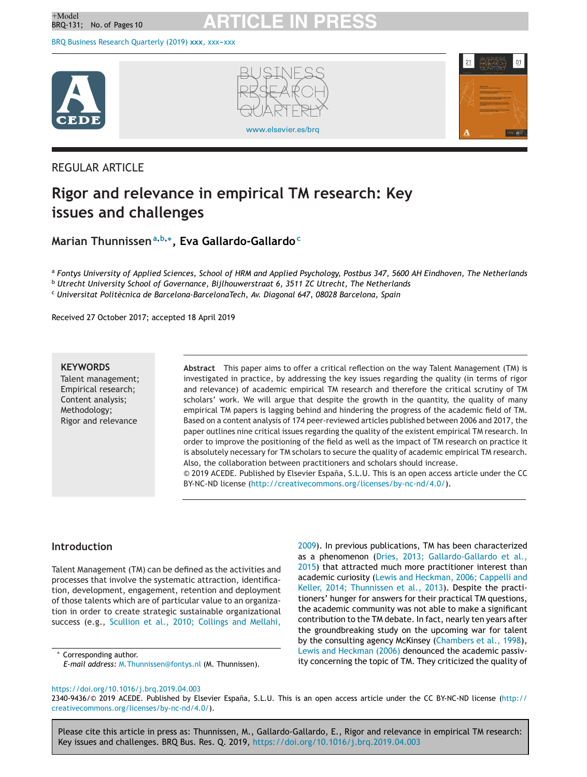BRO Business Research [Quarterly](https://doi.org/10.1016/j.brq.2019.04.003) (2019) xxx, xxx-xxx







# REGULAR ARTICLE

# **Rigor and relevance in empirical TM research: Key issues and challenges**

**Marian Thunnissen<sup>a</sup>,b,∗, Eva Gallardo-Gallardo<sup>c</sup>**

a Fontys University of Applied Sciences, School of HRM and Applied Psychology, Postbus 347, 5600 AH Eindhoven, The Netherlands

<sup>b</sup> *Utrecht University School of Governance, Bijlhouwerstraat 6, 3511 ZC Utrecht, The Netherlands*

<sup>c</sup> *Universitat Politècnica de Barcelona-BarcelonaTech, Av. Diagonal 647, 08028 Barcelona, Spain*

Received 27 October 2017; accepted 18 April 2019

#### **KEYWORDS**

Talent management; Empirical research; Content analysis; Methodology; Rigor and relevance

**Abstract** This paper aims to offer a critical reflection on the way Talent Management (TM) is investigated in practice, by addressing the key issues regarding the quality (in terms of rigor and relevance) of academic empirical TM research and therefore the critical scrutiny of TM scholars' work. We will argue that despite the growth in the quantity, the quality of many empirical TM papers is lagging behind and hindering the progress of the academic field of TM. Based on a content analysis of 174 peer-reviewed articles published between 2006 and 2017, the paper outlines nine critical issues regarding the quality of the existent empirical TM research. In order to improve the positioning of the field as well as the impact of TM research on practice it is absolutely necessary for TM scholars to secure the quality of academic empirical TM research. Also, the collaboration between practitioners and scholars should increase. © 2019 ACEDE. Published by Elsevier España, S.L.U. This is an open access article under the CC

BY-NC-ND license (<http://creativecommons.org/licenses/by-nc-nd/4.0/>).

## **Introduction**

Talent Management (TM) can be defined as the activities and processes that involve the systematic attraction, identification, development, engagement, retention and deployment of those talents which are of particular value to an organization in order to create strategic sustainable organizational success (e.g., [Scullion](#page-9-0) et [al.,](#page-9-0) [2010;](#page-9-0) [Collings](#page-9-0) [and](#page-9-0) [Mellahi,](#page-9-0)

∗ Corresponding author. *E-mail address:* [M.Thunnissen@fontys.nl](mailto:M.Thunnissen@fontys.nl) (M. Thunnissen). [2009\).](#page-9-0) In previous publications, TM has been characterized as a phenomenon [\(Dries,](#page-8-0) [2013;](#page-8-0) [Gallardo-Gallardo](#page-8-0) et [al.,](#page-8-0) [2015\)](#page-8-0) that attracted much more practitioner interest than academic curiosity [\(Lewis](#page-9-0) [and](#page-9-0) [Heckman,](#page-9-0) [2006;](#page-9-0) [Cappelli](#page-9-0) [and](#page-9-0) [Keller,](#page-9-0) [2014;](#page-9-0) [Thunnissen](#page-9-0) et [al.,](#page-9-0) [2013\).](#page-9-0) Despite the practitioners' hunger for answers for their practical TM questions, the academic community was not able to make a significant contribution to the TM debate. In fact, nearly ten years after the groundbreaking study on the upcoming war for talent by the consulting agency McKinsey ([Chambers](#page-8-0) et [al.,](#page-8-0) [1998\),](#page-8-0) [Lewis](#page-9-0) [and](#page-9-0) [Heckman](#page-9-0) [\(2006\)](#page-9-0) denounced the academic passivity concerning the topic of TM. They criticized the quality of

<https://doi.org/10.1016/j.brq.2019.04.003>

2340-9436/© 2019 ACEDE. Published by Elsevier España, S.L.U. This is an open access article under the CC BY-NC-ND license [\(http://](http://creativecommons.org/licenses/by-nc-nd/4.0/) [creativecommons.org/licenses/by-nc-nd/4.0/\)](http://creativecommons.org/licenses/by-nc-nd/4.0/).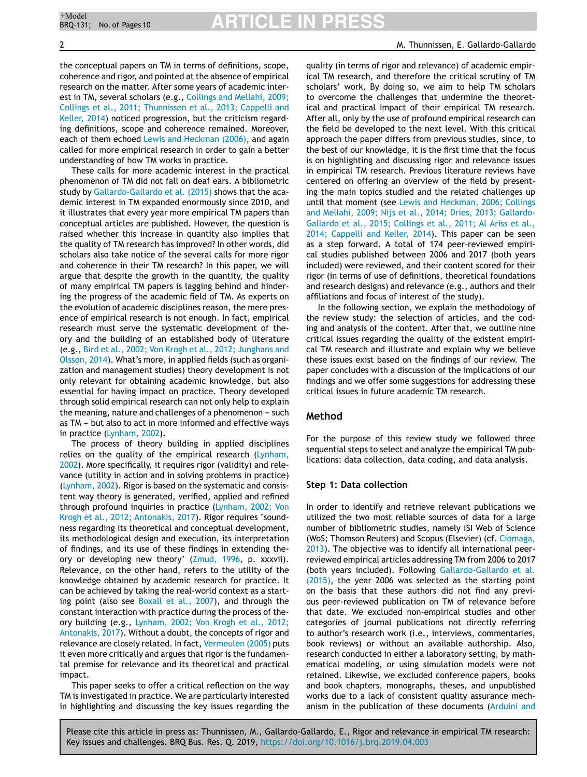the conceptual papers on TM in terms of definitions, scope, coherence and rigor, and pointed at the absence of empirical research on the matter. After some years of academic interest in TM, several scholars (e.g., [Collings](#page-8-0) [and](#page-8-0) [Mellahi,](#page-8-0) [2009;](#page-8-0) [Collings](#page-8-0) et [al.,](#page-8-0) [2011;](#page-8-0) [Thunnissen](#page-8-0) et [al.,](#page-8-0) [2013;](#page-8-0) [Cappelli](#page-8-0) [and](#page-8-0) [Keller,](#page-8-0) [2014\)](#page-8-0) noticed progression, but the criticism regarding definitions, scope and coherence remained. Moreover, each of them echoed [Lewis](#page-9-0) [and](#page-9-0) [Heckman](#page-9-0) [\(2006\),](#page-9-0) and again called for more empirical research in order to gain a better understanding of how TM works in practice.

These calls for more academic interest in the practical phenomenon of TM did not fall on deaf ears. A bibliometric study by [Gallardo-Gallardo](#page-8-0) et [al.](#page-8-0) [\(2015\)](#page-8-0) shows that the academic interest in TM expanded enormously since 2010, and it illustrates that every year more empirical TM papers than conceptual articles are published. However, the question is raised whether this increase in quantity also implies that the quality of TM research has improved? In other words, did scholars also take notice of the several calls for more rigor and coherence in their TM research? In this paper, we will argue that despite the growth in the quantity, the quality of many empirical TM papers is lagging behind and hindering the progress of the academic field of TM. As experts on the evolution of academic disciplines reason, the mere presence of empirical research is not enough. In fact, empirical research must serve the systematic development of theory and the building of an established body of literature (e.g., [Bird](#page-8-0) et [al.,](#page-8-0) [2002;](#page-8-0) [Von](#page-8-0) [Krogh](#page-8-0) et [al.,](#page-8-0) [2012;](#page-8-0) [Junghans](#page-8-0) [and](#page-8-0) [Olsson,](#page-8-0) [2014\).](#page-8-0) What's more, in applied fields (such as organization and management studies) theory development is not only relevant for obtaining academic knowledge, but also essential for having impact on practice. Theory developed through solid empirical research can not only help to explain the meaning, nature and challenges of a phenomenon  $-$  such as TM - but also to act in more informed and effective ways in practice [\(Lynham,](#page-9-0) [2002\).](#page-9-0)

The process of theory building in applied disciplines relies on the quality of the empirical research ([Lynham,](#page-9-0) [2002\).](#page-9-0) More specifically, it requires rigor (validity) and relevance (utility in action and in solving problems in practice) [\(Lynham,](#page-9-0) [2002\).](#page-9-0) Rigor is based on the systematic and consistent way theory is generated, verified, applied and refined through profound inquiries in practice [\(Lynham,](#page-9-0) [2002;](#page-9-0) [Von](#page-9-0) [Krogh](#page-9-0) et [al.,](#page-9-0) [2012;](#page-9-0) [Antonakis,](#page-9-0) [2017\).](#page-9-0) Rigor requires 'soundness regarding its theoretical and conceptual development, its methodological design and execution, its interpretation of findings, and its use of these findings in extending theory or developing new theory' ([Zmud,](#page-9-0) [1996,](#page-9-0) p. xxxvii). Relevance, on the other hand, refers to the utility of the knowledge obtained by academic research for practice. It can be achieved by taking the real-world context as a starting point (also see [Boxall](#page-8-0) et [al.,](#page-8-0) [2007\),](#page-8-0) and through the constant interaction with practice during the process of theory building (e.g., [Lynham,](#page-9-0) [2002;](#page-9-0) [Von](#page-9-0) [Krogh](#page-9-0) et [al.,](#page-9-0) [2012;](#page-9-0) [Antonakis,](#page-9-0) [2017\).](#page-9-0) Without a doubt, the concepts of rigor and relevance are closely related. In fact, [Vermeulen](#page-9-0) [\(2005\)](#page-9-0) puts it even more critically and argues that rigor is the fundamental premise for relevance and its theoretical and practical impact.

This paper seeks to offer a critical reflection on the way TM is investigated in practice. We are particularly interested in highlighting and discussing the key issues regarding the

quality (in terms of rigor and relevance) of academic empirical TM research, and therefore the critical scrutiny of TM scholars' work. By doing so, we aim to help TM scholars to overcome the challenges that undermine the theoretical and practical impact of their empirical TM research. After all, only by the use of profound empirical research can the field be developed to the next level. With this critical approach the paper differs from previous studies, since, to the best of our knowledge, it is the first time that the focus is on highlighting and discussing rigor and relevance issues in empirical TM research. Previous literature reviews have centered on offering an overview of the field by presenting the main topics studied and the related challenges up until that moment (see [Lewis](#page-9-0) [and](#page-9-0) [Heckman,](#page-9-0) [2006;](#page-9-0) [Collings](#page-9-0) [and](#page-9-0) [Mellahi,](#page-9-0) [2009;](#page-9-0) [Nijs](#page-9-0) et [al.,](#page-9-0) [2014;](#page-9-0) [Dries,](#page-9-0) [2013;](#page-9-0) [Gallardo-](#page-9-0)Gallardo et [al.,](#page-9-0) [2015;](#page-9-0) [Collings](#page-9-0) et [al.,](#page-9-0) [2011;](#page-9-0) [Al](#page-9-0) [Ariss](#page-9-0) et [al.,](#page-9-0) [2014;](#page-9-0) [Cappelli](#page-9-0) [and](#page-9-0) [Keller,](#page-9-0) [2014\).](#page-9-0) This paper can be seen as a step forward. A total of 174 peer-reviewed empirical studies published between 2006 and 2017 (both years included) were reviewed, and their content scored for their rigor (in terms of use of definitions, theoretical foundations and research designs) and relevance (e.g., authors and their affiliations and focus of interest of the study).

In the following section, we explain the methodology of the review study: the selection of articles, and the coding and analysis of the content. After that, we outline nine critical issues regarding the quality of the existent empirical TM research and illustrate and explain why we believe these issues exist based on the findings of our review. The paper concludes with a discussion of the implications of our findings and we offer some suggestions for addressing these critical issues in future academic TM research.

### **Method**

For the purpose of this review study we followed three sequential steps to select and analyze the empirical TM publications: data collection, data coding, and data analysis.

#### **Step 1: Data collection**

In order to identify and retrieve relevant publications we utilized the two most reliable sources of data for a large number of bibliometric studies, namely ISI Web of Science (WoS; Thomson Reuters) and Scopus (Elsevier) (cf. [Ciomaga,](#page-8-0) [2013\).](#page-8-0) The objective was to identify all international peerreviewed empirical articles addressing TM from 2006 to 2017 (both years included). Following [Gallardo-Gallardo](#page-8-0) et [al.](#page-8-0) [\(2015\),](#page-8-0) the year 2006 was selected as the starting point on the basis that these authors did not find any previous peer-reviewed publication on TM of relevance before that date. We excluded non-empirical studies and other categories of journal publications not directly referring to author's research work (i.e., interviews, commentaries, book reviews) or without an available authorship. Also, research conducted in either a laboratory setting, by mathematical modeling, or using simulation models were not retained. Likewise, we excluded conference papers, books and book chapters, monographs, theses, and unpublished works due to a lack of consistent quality assurance mechanism in the publication of these documents [\(Arduini](#page-8-0) [and](#page-8-0)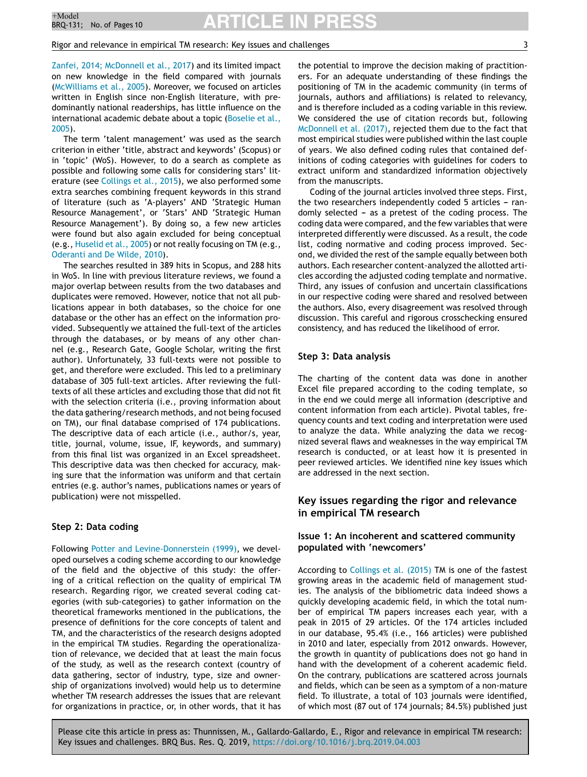### Rigor and relevance in empirical TM research: Key issues and challenges 3

[Zanfei,](#page-8-0) [2014;](#page-8-0) [McDonnell](#page-8-0) et [al.,](#page-8-0) [2017\)](#page-8-0) and its limited impact on new knowledge in the field compared with journals ([McWilliams](#page-9-0) et [al.,](#page-9-0) [2005\).](#page-9-0) Moreover, we focused on articles written in English since non-English literature, with predominantly national readerships, has little influence on the international academic debate about a topic [\(Boselie](#page-8-0) et [al.,](#page-8-0) [2005\).](#page-8-0)

The term 'talent management' was used as the search criterion in either 'title, abstract and keywords' (Scopus) or in 'topic' (WoS). However, to do a search as complete as possible and following some calls for considering stars' literature (see [Collings](#page-8-0) et [al.,](#page-8-0) [2015\),](#page-8-0) we also performed some extra searches combining frequent keywords in this strand of literature (such as 'A-players' AND 'Strategic Human Resource Management', or 'Stars' AND 'Strategic Human Resource Management'). By doing so, a few new articles were found but also again excluded for being conceptual (e.g., [Huselid](#page-8-0) et [al.,](#page-8-0) [2005\)](#page-8-0) or not really focusing on TM (e.g., [Oderanti](#page-9-0) [and](#page-9-0) [De](#page-9-0) [Wilde,](#page-9-0) [2010\).](#page-9-0)

The searches resulted in 389 hits in Scopus, and 288 hits in WoS. In line with previous literature reviews, we found a major overlap between results from the two databases and duplicates were removed. However, notice that not all publications appear in both databases, so the choice for one database or the other has an effect on the information provided. Subsequently we attained the full-text of the articles through the databases, or by means of any other channel (e.g., Research Gate, Google Scholar, writing the first author). Unfortunately, 33 full-texts were not possible to get, and therefore were excluded. This led to a preliminary database of 305 full-text articles. After reviewing the fulltexts of all these articles and excluding those that did not fit with the selection criteria (i.e., proving information about the data gathering/research methods, and not being focused on TM), our final database comprised of 174 publications. The descriptive data of each article (i.e., author/s, year, title, journal, volume, issue, IF, keywords, and summary) from this final list was organized in an Excel spreadsheet. This descriptive data was then checked for accuracy, making sure that the information was uniform and that certain entries (e.g. author's names, publications names or years of publication) were not misspelled.

#### **Step 2: Data coding**

Following [Potter](#page-9-0) [and](#page-9-0) [Levine-Donnerstein](#page-9-0) [\(1999\),](#page-9-0) we developed ourselves a coding scheme according to our knowledge of the field and the objective of this study: the offering of a critical reflection on the quality of empirical TM research. Regarding rigor, we created several coding categories (with sub-categories) to gather information on the theoretical frameworks mentioned in the publications, the presence of definitions for the core concepts of talent and TM, and the characteristics of the research designs adopted in the empirical TM studies. Regarding the operationalization of relevance, we decided that at least the main focus of the study, as well as the research context (country of data gathering, sector of industry, type, size and ownership of organizations involved) would help us to determine whether TM research addresses the issues that are relevant for organizations in practice, or, in other words, that it has

the potential to improve the decision making of practitioners. For an adequate understanding of these findings the positioning of TM in the academic community (in terms of journals, authors and affiliations) is related to relevancy, and is therefore included as a coding variable in this review. We considered the use of citation records but, following [McDonnell](#page-9-0) et [al.](#page-9-0) [\(2017\),](#page-9-0) rejected them due to the fact that most empirical studies were published within the last couple of years. We also defined coding rules that contained definitions of coding categories with guidelines for coders to extract uniform and standardized information objectively from the manuscripts.

Coding of the journal articles involved three steps. First, the two researchers independently coded  $5$  articles  $-$  randomly selected  $-$  as a pretest of the coding process. The coding data were compared, and the few variables that were interpreted differently were discussed. As a result, the code list, coding normative and coding process improved. Second, we divided the rest of the sample equally between both authors. Each researcher content-analyzed the allotted articles according the adjusted coding template and normative. Third, any issues of confusion and uncertain classifications in our respective coding were shared and resolved between the authors. Also, every disagreement was resolved through discussion. This careful and rigorous crosschecking ensured consistency, and has reduced the likelihood of error.

#### **Step 3: Data analysis**

The charting of the content data was done in another Excel file prepared according to the coding template, so in the end we could merge all information (descriptive and content information from each article). Pivotal tables, frequency counts and text coding and interpretation were used to analyze the data. While analyzing the data we recognized several flaws and weaknesses in the way empirical TM research is conducted, or at least how it is presented in peer reviewed articles. We identified nine key issues which are addressed in the next section.

### **Key issues regarding the rigor and relevance in empirical TM research**

### **Issue 1: An incoherent and scattered community populated with 'newcomers'**

According to [Collings](#page-8-0) et [al.](#page-8-0) [\(2015\)](#page-8-0) TM is one of the fastest growing areas in the academic field of management studies. The analysis of the bibliometric data indeed shows a quickly developing academic field, in which the total number of empirical TM papers increases each year, with a peak in 2015 of 29 articles. Of the 174 articles included in our database, 95.4% (i.e., 166 articles) were published in 2010 and later, especially from 2012 onwards. However, the growth in quantity of publications does not go hand in hand with the development of a coherent academic field. On the contrary, publications are scattered across journals and fields, which can be seen as a symptom of a non-mature field. To illustrate, a total of 103 journals were identified, of which most (87 out of 174 journals; 84.5%) published just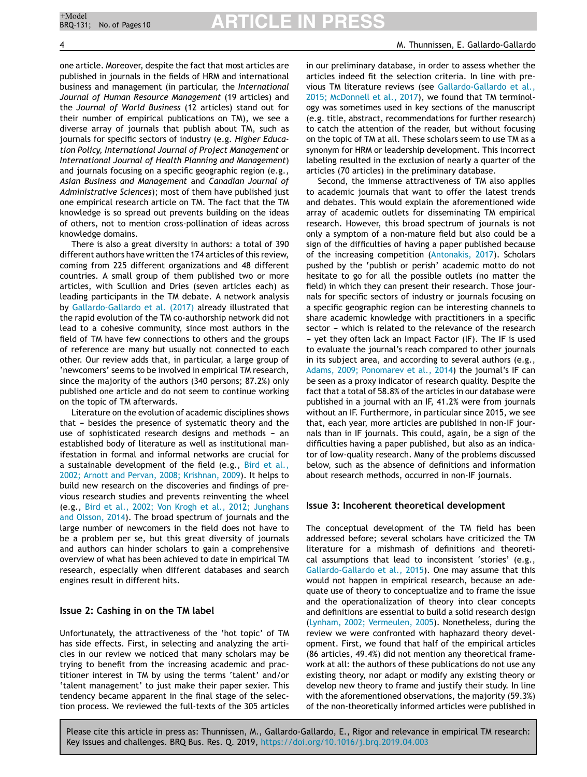one article. Moreover, despite the fact that most articles are published in journals in the fields of HRM and international business and management (in particular, the *International Journal of Human Resource Management* (19 articles) and the *Journal of World Business* (12 articles) stand out for their number of empirical publications on TM), we see a diverse array of journals that publish about TM, such as journals for specific sectors of industry (e.g. *Higher Education Policy, International Journal of Project Management* or *International Journal of Health Planning and Management*) and journals focusing on a specific geographic region (e.g., *Asian Business and Management* and *Canadian Journal of Administrative Sciences*); most of them have published just one empirical research article on TM. The fact that the TM knowledge is so spread out prevents building on the ideas of others, not to mention cross-pollination of ideas across knowledge domains.

There is also a great diversity in authors: a total of 390 different authors have written the 174 articles of this review, coming from 225 different organizations and 48 different countries. A small group of them published two or more articles, with Scullion and Dries (seven articles each) as leading participants in the TM debate. A network analysis by [Gallardo-Gallardo](#page-8-0) et [al.](#page-8-0) [\(2017\)](#page-8-0) already illustrated that the rapid evolution of the TM co-authorship network did not lead to a cohesive community, since most authors in the field of TM have few connections to others and the groups of reference are many but usually not connected to each other. Our review adds that, in particular, a large group of 'newcomers' seems to be involved in empirical TM research, since the majority of the authors (340 persons; 87.2%) only published one article and do not seem to continue working on the topic of TM afterwards.

Literature on the evolution of academic disciplines shows that - besides the presence of systematic theory and the use of sophisticated research designs and methods  $-$  an established body of literature as well as institutional manifestation in formal and informal networks are crucial for a sustainable development of the field (e.g., [Bird](#page-8-0) et [al.,](#page-8-0) [2002;](#page-8-0) [Arnott](#page-8-0) [and](#page-8-0) [Pervan,](#page-8-0) [2008;](#page-8-0) [Krishnan,](#page-8-0) [2009\).](#page-8-0) It helps to build new research on the discoveries and findings of previous research studies and prevents reinventing the wheel (e.g., [Bird](#page-8-0) et [al.,](#page-8-0) [2002;](#page-8-0) [Von](#page-8-0) [Krogh](#page-8-0) et [al.,](#page-8-0) [2012;](#page-8-0) [Junghans](#page-8-0) [and](#page-8-0) [Olsson,](#page-8-0) [2014\).](#page-8-0) The broad spectrum of journals and the large number of newcomers in the field does not have to be a problem per se, but this great diversity of journals and authors can hinder scholars to gain a comprehensive overview of what has been achieved to date in empirical TM research, especially when different databases and search engines result in different hits.

#### **Issue 2: Cashing in on the TM label**

Unfortunately, the attractiveness of the 'hot topic' of TM has side effects. First, in selecting and analyzing the articles in our review we noticed that many scholars may be trying to benefit from the increasing academic and practitioner interest in TM by using the terms 'talent' and/or 'talent management' to just make their paper sexier. This tendency became apparent in the final stage of the selection process. We reviewed the full-texts of the 305 articles

in our preliminary database, in order to assess whether the articles indeed fit the selection criteria. In line with previous TM literature reviews (see [Gallardo-Gallardo](#page-8-0) et [al.,](#page-8-0) [2015;](#page-8-0) [McDonnell](#page-8-0) et [al.,](#page-8-0) [2017\),](#page-8-0) we found that TM terminology was sometimes used in key sections of the manuscript (e.g. title, abstract, recommendations for further research) to catch the attention of the reader, but without focusing on the topic of TM at all. These scholars seem to use TM as a synonym for HRM or leadership development. This incorrect labeling resulted in the exclusion of nearly a quarter of the articles (70 articles) in the preliminary database.

Second, the immense attractiveness of TM also applies to academic journals that want to offer the latest trends and debates. This would explain the aforementioned wide array of academic outlets for disseminating TM empirical research. However, this broad spectrum of journals is not only a symptom of a non-mature field but also could be a sign of the difficulties of having a paper published because of the increasing competition [\(Antonakis,](#page-8-0) [2017\).](#page-8-0) Scholars pushed by the 'publish or perish' academic motto do not hesitate to go for all the possible outlets (no matter the field) in which they can present their research. Those journals for specific sectors of industry or journals focusing on a specific geographic region can be interesting channels to share academic knowledge with practitioners in a specific sector - which is related to the relevance of the research  $-$  yet they often lack an Impact Factor (IF). The IF is used to evaluate the journal's reach compared to other journals in its subject area, and according to several authors (e.g., [Adams,](#page-8-0) [2009;](#page-8-0) [Ponomarev](#page-8-0) et [al.,](#page-8-0) [2014\)](#page-8-0) the journal's IF can be seen as a proxy indicator of research quality. Despite the fact that a total of 58.8% of the articles in our database were published in a journal with an IF, 41.2% were from journals without an IF. Furthermore, in particular since 2015, we see that, each year, more articles are published in non-IF journals than in IF journals. This could, again, be a sign of the difficulties having a paper published, but also as an indicator of low-quality research. Many of the problems discussed below, such as the absence of definitions and information about research methods, occurred in non-IF journals.

#### **Issue 3: Incoherent theoretical development**

The conceptual development of the TM field has been addressed before; several scholars have criticized the TM literature for a mishmash of definitions and theoretical assumptions that lead to inconsistent 'stories' (e.g., [Gallardo-Gallardo](#page-8-0) et [al.,](#page-8-0) [2015\).](#page-8-0) One may assume that this would not happen in empirical research, because an adequate use of theory to conceptualize and to frame the issue and the operationalization of theory into clear concepts and definitions are essential to build a solid research design [\(Lynham,](#page-9-0) [2002;](#page-9-0) [Vermeulen,](#page-9-0) [2005\).](#page-9-0) Nonetheless, during the review we were confronted with haphazard theory development. First, we found that half of the empirical articles (86 articles, 49.4%) did not mention any theoretical framework at all: the authors of these publications do not use any existing theory, nor adapt or modify any existing theory or develop new theory to frame and justify their study. In line with the aforementioned observations, the majority (59.3%) of the non-theoretically informed articles were published in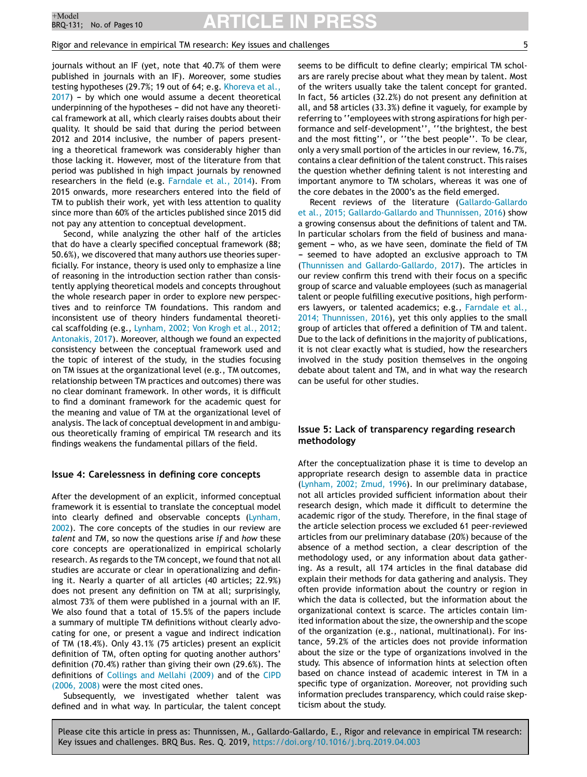### Rigor and relevance in empirical TM research: Key issues and challenges 5

journals without an IF (yet, note that 40.7% of them were published in journals with an IF). Moreover, some studies testing hypotheses (29.7%; 19 out of 64; e.g. [Khoreva](#page-9-0) et [al.,](#page-9-0)  $2017$ ) - by which one would assume a decent theoretical underpinning of the hypotheses - did not have any theoretical framework at all, which clearly raises doubts about their quality. It should be said that during the period between 2012 and 2014 inclusive, the number of papers presenting a theoretical framework was considerably higher than those lacking it. However, most of the literature from that period was published in high impact journals by renowned researchers in the field (e.g. [Farndale](#page-8-0) et [al.,](#page-8-0) [2014\).](#page-8-0) From 2015 onwards, more researchers entered into the field of TM to publish their work, yet with less attention to quality since more than 60% of the articles published since 2015 did not pay any attention to conceptual development.

Second, while analyzing the other half of the articles that do have a clearly specified conceptual framework (88; 50.6%), we discovered that many authors use theories superficially. For instance, theory is used only to emphasize a line of reasoning in the introduction section rather than consistently applying theoretical models and concepts throughout the whole research paper in order to explore new perspectives and to reinforce TM foundations. This random and inconsistent use of theory hinders fundamental theoretical scaffolding (e.g., [Lynham,](#page-9-0) [2002;](#page-9-0) [Von](#page-9-0) [Krogh](#page-9-0) et [al.,](#page-9-0) [2012;](#page-9-0) [Antonakis,](#page-9-0) [2017\).](#page-9-0) Moreover, although we found an expected consistency between the conceptual framework used and the topic of interest of the study, in the studies focusing on TM issues at the organizational level (e.g., TM outcomes, relationship between TM practices and outcomes) there was no clear dominant framework. In other words, it is difficult to find a dominant framework for the academic quest for the meaning and value of TM at the organizational level of analysis. The lack of conceptual development in and ambiguous theoretically framing of empirical TM research and its findings weakens the fundamental pillars of the field.

#### **Issue 4: Carelessness in defining core concepts**

After the development of an explicit, informed conceptual framework it is essential to translate the conceptual model into clearly defined and observable concepts [\(Lynham,](#page-9-0) [2002\).](#page-9-0) The core concepts of the studies in our review are *talent* and *TM*, so now the questions arise *if* and *how* these core concepts are operationalized in empirical scholarly research. As regards to the TM concept, we found that not all studies are accurate or clear in operationalizing and defining it. Nearly a quarter of all articles (40 articles; 22.9%) does not present any definition on TM at all; surprisingly, almost 73% of them were published in a journal with an IF. We also found that a total of 15.5% of the papers include a summary of multiple TM definitions without clearly advocating for one, or present a vague and indirect indication of TM (18.4%). Only 43.1% (75 articles) present an explicit definition of TM, often opting for quoting another authors' definition (70.4%) rather than giving their own (29.6%). The definitions of [Collings](#page-8-0) [and](#page-8-0) [Mellahi](#page-8-0) [\(2009\)](#page-8-0) and of the [CIPD](#page-8-0) [\(2006,](#page-8-0) [2008\)](#page-8-0) were the most cited ones.

Subsequently, we investigated whether talent was defined and in what way. In particular, the talent concept

seems to be difficult to define clearly; empirical TM scholars are rarely precise about what they mean by talent. Most of the writers usually take the talent concept for granted. In fact, 56 articles (32.2%) do not present any definition at all, and 58 articles (33.3%) define it vaguely, for example by referring to ''employees with strong aspirations for high performance and self-development'', ''the brightest, the best and the most fitting'', or ''the best people''. To be clear, only a very small portion of the articles in our review, 16.7%, contains a clear definition of the talent construct. This raises the question whether defining talent is not interesting and important anymore to TM scholars, whereas it was one of the core debates in the 2000's as the field emerged.

Recent reviews of the literature [\(Gallardo-Gallardo](#page-8-0) et [al.,](#page-8-0) [2015;](#page-8-0) [Gallardo-Gallardo](#page-8-0) [and](#page-8-0) [Thunnissen,](#page-8-0) [2016\)](#page-8-0) show a growing consensus about the definitions of talent and TM. In particular scholars from the field of business and management - who, as we have seen, dominate the field of TM - seemed to have adopted an exclusive approach to TM ([Thunnissen](#page-9-0) [and](#page-9-0) [Gallardo-Gallardo,](#page-9-0) [2017\).](#page-9-0) The articles in our review confirm this trend with their focus on a specific group of scarce and valuable employees (such as managerial talent or people fulfilling executive positions, high performers lawyers, or talented academics; e.g., [Farndale](#page-8-0) et [al.,](#page-8-0) [2014;](#page-8-0) [Thunnissen,](#page-8-0) [2016\),](#page-8-0) yet this only applies to the small group of articles that offered a definition of TM and talent. Due to the lack of definitions in the majority of publications, it is not clear exactly what is studied, how the researchers involved in the study position themselves in the ongoing debate about talent and TM, and in what way the research can be useful for other studies.

### **Issue 5: Lack of transparency regarding research methodology**

After the conceptualization phase it is time to develop an appropriate research design to assemble data in practice ([Lynham,](#page-9-0) [2002;](#page-9-0) [Zmud,](#page-9-0) [1996\).](#page-9-0) In our preliminary database, not all articles provided sufficient information about their research design, which made it difficult to determine the academic rigor of the study. Therefore, in the final stage of the article selection process we excluded 61 peer-reviewed articles from our preliminary database (20%) because of the absence of a method section, a clear description of the methodology used, or any information about data gathering. As a result, all 174 articles in the final database did explain their methods for data gathering and analysis. They often provide information about the country or region in which the data is collected, but the information about the organizational context is scarce. The articles contain limited information about the size, the ownership and the scope of the organization (e.g., national, multinational). For instance, 59.2% of the articles does not provide information about the size or the type of organizations involved in the study. This absence of information hints at selection often based on chance instead of academic interest in TM in a specific type of organization. Moreover, not providing such information precludes transparency, which could raise skepticism about the study.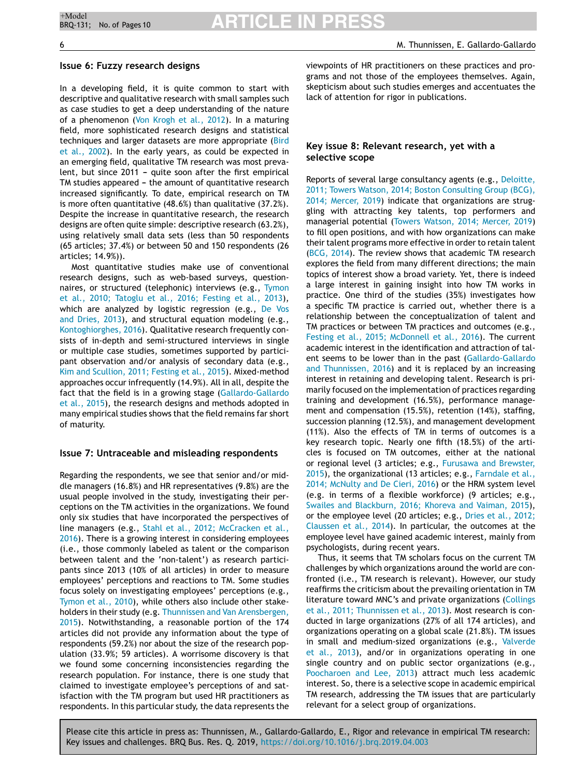#### **Issue 6: Fuzzy research designs**

In a developing field, it is quite common to start with descriptive and qualitative research with small samples such as case studies to get a deep understanding of the nature of a phenomenon ([Von](#page-9-0) [Krogh](#page-9-0) et [al.,](#page-9-0) [2012\).](#page-9-0) In a maturing field, more sophisticated research designs and statistical techniques and larger datasets are more appropriate ([Bird](#page-8-0) et [al.,](#page-8-0) [2002\).](#page-8-0) In the early years, as could be expected in an emerging field, qualitative TM research was most prevalent, but since  $2011$  – quite soon after the first empirical TM studies appeared  $-$  the amount of quantitative research increased significantly. To date, empirical research on TM is more often quantitative (48.6%) than qualitative (37.2%). Despite the increase in quantitative research, the research designs are often quite simple: descriptive research (63.2%), using relatively small data sets (less than 50 respondents (65 articles; 37.4%) or between 50 and 150 respondents (26 articles; 14.9%)).

Most quantitative studies make use of conventional research designs, such as web-based surveys, questionnaires, or structured (telephonic) interviews (e.g., [Tymon](#page-9-0) et [al.,](#page-9-0) [2010;](#page-9-0) [Tatoglu](#page-9-0) et [al.,](#page-9-0) [2016;](#page-9-0) [Festing](#page-9-0) et [al.,](#page-9-0) [2013\),](#page-9-0) which are analyzed by logistic regression (e.g., [De](#page-8-0) [Vos](#page-8-0) [and](#page-8-0) [Dries,](#page-8-0) [2013\),](#page-8-0) and structural equation modeling (e.g., [Kontoghiorghes,](#page-9-0) [2016\).](#page-9-0) Qualitative research frequently consists of in-depth and semi-structured interviews in single or multiple case studies, sometimes supported by participant observation and/or analysis of secondary data (e.g., [Kim](#page-9-0) [and](#page-9-0) [Scullion,](#page-9-0) [2011;](#page-9-0) [Festing](#page-9-0) et [al.,](#page-9-0) [2015\).](#page-9-0) Mixed-method approaches occur infrequently (14.9%). All in all, despite the fact that the field is in a growing stage ([Gallardo-Gallardo](#page-8-0) et [al.,](#page-8-0) [2015\),](#page-8-0) the research designs and methods adopted in many empirical studies shows that the field remains far short of maturity.

#### **Issue 7: Untraceable and misleading respondents**

Regarding the respondents, we see that senior and/or middle managers (16.8%) and HR representatives (9.8%) are the usual people involved in the study, investigating their perceptions on the TM activities in the organizations. We found only six studies that have incorporated the perspectives of line managers (e.g., [Stahl](#page-9-0) et [al.,](#page-9-0) [2012;](#page-9-0) [McCracken](#page-9-0) et [al.,](#page-9-0) [2016\).](#page-9-0) There is a growing interest in considering employees (i.e., those commonly labeled as talent or the comparison between talent and the 'non-talent') as research participants since 2013 (10% of all articles) in order to measure employees' perceptions and reactions to TM. Some studies focus solely on investigating employees' perceptions (e.g., [Tymon](#page-9-0) et [al.,](#page-9-0) [2010\),](#page-9-0) while others also include other stakeholders in their study (e.g. [Thunnissen](#page-9-0) [and](#page-9-0) [Van](#page-9-0) [Arensbergen,](#page-9-0) [2015\).](#page-9-0) Notwithstanding, a reasonable portion of the 174 articles did not provide any information about the type of respondents (59.2%) nor about the size of the research population (33.9%; 59 articles). A worrisome discovery is that we found some concerning inconsistencies regarding the research population. For instance, there is one study that claimed to investigate employee's perceptions of and satisfaction with the TM program but used HR practitioners as respondents. In this particular study, the data represents the viewpoints of HR practitioners on these practices and programs and not those of the employees themselves. Again, skepticism about such studies emerges and accentuates the lack of attention for rigor in publications.

#### **Key issue 8: Relevant research, yet with a selective scope**

Reports of several large consultancy agents (e.g., [Deloitte,](#page-8-0) [2011;](#page-8-0) [Towers](#page-8-0) [Watson,](#page-8-0) [2014;](#page-8-0) [Boston](#page-8-0) [Consulting](#page-8-0) [Group](#page-8-0) [\(BCG\),](#page-8-0) [2014;](#page-8-0) [Mercer,](#page-8-0) [2019\)](#page-8-0) indicate that organizations are struggling with attracting key talents, top performers and managerial potential [\(Towers](#page-9-0) [Watson,](#page-9-0) [2014;](#page-9-0) [Mercer,](#page-9-0) [2019\)](#page-9-0) to fill open positions, and with how organizations can make their talent programs more effective in order to retain talent [\(BCG,](#page-8-0) [2014\).](#page-8-0) The review shows that academic TM research explores the field from many different directions; the main topics of interest show a broad variety. Yet, there is indeed a large interest in gaining insight into how TM works in practice. One third of the studies (35%) investigates how a specific TM practice is carried out, whether there is a relationship between the conceptualization of talent and TM practices or between TM practices and outcomes (e.g., [Festing](#page-8-0) et [al.,](#page-8-0) [2015;](#page-8-0) [McDonnell](#page-8-0) et [al.,](#page-8-0) [2016\).](#page-8-0) The current academic interest in the identification and attraction of talent seems to be lower than in the past ([Gallardo-Gallardo](#page-8-0) [and](#page-8-0) [Thunnissen,](#page-8-0) [2016\)](#page-8-0) and it is replaced by an increasing interest in retaining and developing talent. Research is primarily focused on the implementation of practices regarding training and development (16.5%), performance management and compensation (15.5%), retention (14%), staffing, succession planning (12.5%), and management development (11%). Also the effects of TM in terms of outcomes is a key research topic. Nearly one fifth (18.5%) of the articles is focused on TM outcomes, either at the national or regional level (3 articles; e.g., [Furusawa](#page-8-0) [and](#page-8-0) [Brewster,](#page-8-0) [2015\),](#page-8-0) the organizational (13 articles; e.g., [Farndale](#page-8-0) et [al.,](#page-8-0) [2014;](#page-8-0) [McNulty](#page-8-0) [and](#page-8-0) [De](#page-8-0) [Cieri,](#page-8-0) [2016\)](#page-8-0) or the HRM system level (e.g. in terms of a flexible workforce) (9 articles; e.g., [Swailes](#page-9-0) [and](#page-9-0) [Blackburn,](#page-9-0) [2016;](#page-9-0) [Khoreva](#page-9-0) [and](#page-9-0) [Vaiman,](#page-9-0) [2015\),](#page-9-0) or the employee level (20 articles; e.g., [Dries](#page-8-0) et [al.,](#page-8-0) [2012;](#page-8-0) [Claussen](#page-8-0) et [al.,](#page-8-0) [2014\).](#page-8-0) In particular, the outcomes at the employee level have gained academic interest, mainly from psychologists, during recent years.

Thus, it seems that TM scholars focus on the current TM challenges by which organizations around the world are confronted (i.e., TM research is relevant). However, our study reaffirms the criticism about the prevailing orientation in TM literature toward MNC's and private organizations ([Collings](#page-8-0) et [al.,](#page-8-0) [2011;](#page-8-0) [Thunnissen](#page-8-0) et [al.,](#page-8-0) [2013\).](#page-8-0) Most research is conducted in large organizations (27% of all 174 articles), and organizations operating on a global scale (21.8%). TM issues in small and medium-sized organizations (e.g., [Valverde](#page-9-0) et [al.,](#page-9-0) [2013\),](#page-9-0) and/or in organizations operating in one single country and on public sector organizations (e.g., [Poocharoen](#page-9-0) [and](#page-9-0) [Lee,](#page-9-0) [2013\)](#page-9-0) attract much less academic interest. So, there is a selective scope in academic empirical TM research, addressing the TM issues that are particularly relevant for a select group of organizations.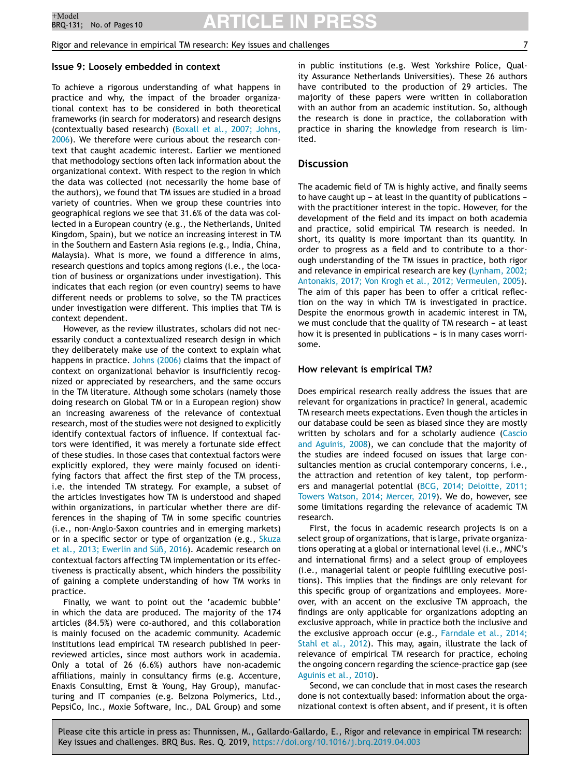Rigor and relevance in empirical TM research: Key issues and challenges 7

#### **Issue 9: Loosely embedded in context**

To achieve a rigorous understanding of what happens in practice and why, the impact of the broader organizational context has to be considered in both theoretical frameworks (in search for moderators) and research designs (contextually based research) [\(Boxall](#page-8-0) et [al.,](#page-8-0) [2007;](#page-8-0) [Johns,](#page-8-0) [2006\).](#page-8-0) We therefore were curious about the research context that caught academic interest. Earlier we mentioned that methodology sections often lack information about the organizational context. With respect to the region in which the data was collected (not necessarily the home base of the authors), we found that TM issues are studied in a broad variety of countries. When we group these countries into geographical regions we see that 31.6% of the data was collected in a European country (e.g., the Netherlands, United Kingdom, Spain), but we notice an increasing interest in TM in the Southern and Eastern Asia regions (e.g., India, China, Malaysia). What is more, we found a difference in aims, research questions and topics among regions (i.e., the location of business or organizations under investigation). This indicates that each region (or even country) seems to have different needs or problems to solve, so the TM practices under investigation were different. This implies that TM is context dependent.

However, as the review illustrates, scholars did not necessarily conduct a contextualized research design in which they deliberately make use of the context to explain what happens in practice. [Johns](#page-9-0) [\(2006\)](#page-9-0) claims that the impact of context on organizational behavior is insufficiently recognized or appreciated by researchers, and the same occurs in the TM literature. Although some scholars (namely those doing research on Global TM or in a European region) show an increasing awareness of the relevance of contextual research, most of the studies were not designed to explicitly identify contextual factors of influence. If contextual factors were identified, it was merely a fortunate side effect of these studies. In those cases that contextual factors were explicitly explored, they were mainly focused on identifying factors that affect the first step of the TM process, i.e. the intended TM strategy. For example, a subset of the articles investigates how TM is understood and shaped within organizations, in particular whether there are differences in the shaping of TM in some specific countries (i.e., non-Anglo-Saxon countries and in emerging markets) or in a specific sector or type of organization (e.g., [Skuza](#page-9-0) et [al.,](#page-9-0) [2013;](#page-9-0) [Ewerlin](#page-9-0) [and](#page-9-0) [Süß,](#page-9-0) [2016\).](#page-9-0) Academic research on contextual factors affecting TM implementation or its effectiveness is practically absent, which hinders the possibility of gaining a complete understanding of how TM works in practice.

Finally, we want to point out the 'academic bubble' in which the data are produced. The majority of the 174 articles (84.5%) were co-authored, and this collaboration is mainly focused on the academic community. Academic institutions lead empirical TM research published in peerreviewed articles, since most authors work in academia. Only a total of 26 (6.6%) authors have non-academic affiliations, mainly in consultancy firms (e.g. Accenture, Enaxis Consulting, Ernst & Young, Hay Group), manufacturing and IT companies (e.g. Belzona Polymerics, Ltd., PepsiCo, Inc., Moxie Software, Inc., DAL Group) and some in public institutions (e.g. West Yorkshire Police, Quality Assurance Netherlands Universities). These 26 authors have contributed to the production of 29 articles. The majority of these papers were written in collaboration with an author from an academic institution. So, although the research is done in practice, the collaboration with practice in sharing the knowledge from research is limited.

### **Discussion**

The academic field of TM is highly active, and finally seems to have caught up  $-$  at least in the quantity of publications  $$ with the practitioner interest in the topic. However, for the development of the field and its impact on both academia and practice, solid empirical TM research is needed. In short, its quality is more important than its quantity. In order to progress as a field and to contribute to a thorough understanding of the TM issues in practice, both rigor and relevance in empirical research are key ([Lynham,](#page-9-0) [2002;](#page-9-0) [Antonakis,](#page-9-0) [2017;](#page-9-0) [Von](#page-9-0) [Krogh](#page-9-0) et [al.,](#page-9-0) [2012;](#page-9-0) [Vermeulen,](#page-9-0) [2005\).](#page-9-0) The aim of this paper has been to offer a critical reflection on the way in which TM is investigated in practice. Despite the enormous growth in academic interest in TM, we must conclude that the quality of TM research  $-$  at least how it is presented in publications  $-$  is in many cases worrisome.

#### **How relevant is empirical TM?**

Does empirical research really address the issues that are relevant for organizations in practice? In general, academic TM research meets expectations. Even though the articles in our database could be seen as biased since they are mostly written by scholars and for a scholarly audience [\(Cascio](#page-8-0) [and](#page-8-0) [Aguinis,](#page-8-0) [2008\),](#page-8-0) we can conclude that the majority of the studies are indeed focused on issues that large consultancies mention as crucial contemporary concerns, i.e., the attraction and retention of key talent, top performers and managerial potential ([BCG,](#page-8-0) [2014;](#page-8-0) [Deloitte,](#page-8-0) [2011;](#page-8-0) [Towers](#page-8-0) [Watson,](#page-8-0) [2014;](#page-8-0) [Mercer,](#page-8-0) [2019\).](#page-8-0) We do, however, see some limitations regarding the relevance of academic TM research.

First, the focus in academic research projects is on a select group of organizations, that is large, private organizations operating at a global or international level (i.e., MNC's and international firms) and a select group of employees (i.e., managerial talent or people fulfilling executive positions). This implies that the findings are only relevant for this specific group of organizations and employees. Moreover, with an accent on the exclusive TM approach, the findings are only applicable for organizations adopting an exclusive approach, while in practice both the inclusive and the exclusive approach occur (e.g., [Farndale](#page-8-0) et [al.,](#page-8-0) [2014;](#page-8-0) [Stahl](#page-8-0) et [al.,](#page-8-0) [2012\).](#page-8-0) This may, again, illustrate the lack of relevance of empirical TM research for practice, echoing the ongoing concern regarding the science-practice gap (see [Aguinis](#page-8-0) et [al.,](#page-8-0) [2010\).](#page-8-0)

Second, we can conclude that in most cases the research done is not contextually based: information about the organizational context is often absent, and if present, it is often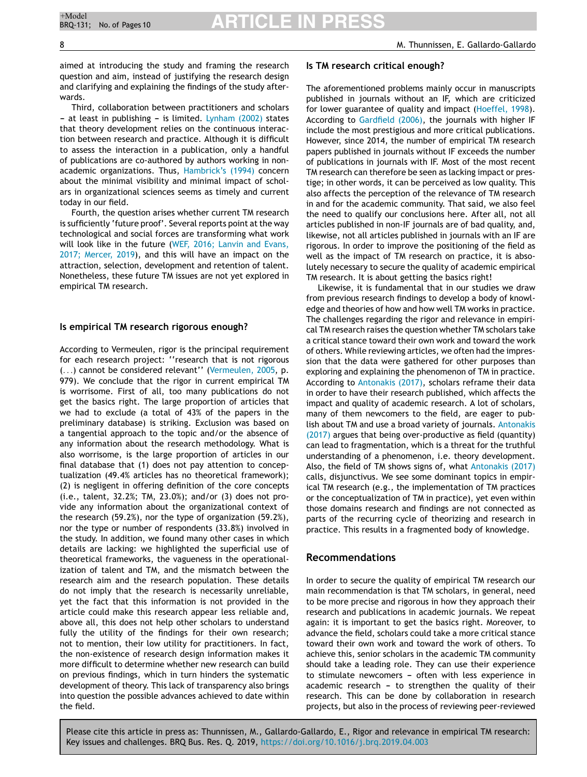aimed at introducing the study and framing the research question and aim, instead of justifying the research design and clarifying and explaining the findings of the study afterwards.

Third, collaboration between practitioners and scholars  $-$  at least in publishing  $-$  is limited. [Lynham](#page-9-0) [\(2002\)](#page-9-0) states that theory development relies on the continuous interaction between research and practice. Although it is difficult to assess the interaction in a publication, only a handful of publications are co-authored by authors working in nonacademic organizations. Thus, [Hambrick's](#page-8-0) [\(1994\)](#page-8-0) concern about the minimal visibility and minimal impact of scholars in organizational sciences seems as timely and current today in our field.

Fourth, the question arises whether current TM research is sufficiently 'future proof'. Several reports point at the way technological and social forces are transforming what work will look like in the future [\(WEF,](#page-9-0) [2016;](#page-9-0) [Lanvin](#page-9-0) [and](#page-9-0) [Evans,](#page-9-0) [2017;](#page-9-0) [Mercer,](#page-9-0) [2019\),](#page-9-0) and this will have an impact on the attraction, selection, development and retention of talent. Nonetheless, these future TM issues are not yet explored in empirical TM research.

#### **Is empirical TM research rigorous enough?**

According to Vermeulen, rigor is the principal requirement for each research project: ''research that is not rigorous (. . .) cannot be considered relevant'' [\(Vermeulen,](#page-9-0) [2005,](#page-9-0) p. 979). We conclude that the rigor in current empirical TM is worrisome. First of all, too many publications do not get the basics right. The large proportion of articles that we had to exclude (a total of 43% of the papers in the preliminary database) is striking. Exclusion was based on a tangential approach to the topic and/or the absence of any information about the research methodology. What is also worrisome, is the large proportion of articles in our final database that (1) does not pay attention to conceptualization (49.4% articles has no theoretical framework); (2) is negligent in offering definition of the core concepts (i.e., talent, 32.2%; TM, 23.0%); and/or (3) does not provide any information about the organizational context of the research (59.2%), nor the type of organization (59.2%), nor the type or number of respondents (33.8%) involved in the study. In addition, we found many other cases in which details are lacking: we highlighted the superficial use of theoretical frameworks, the vagueness in the operationalization of talent and TM, and the mismatch between the research aim and the research population. These details do not imply that the research is necessarily unreliable, yet the fact that this information is not provided in the article could make this research appear less reliable and, above all, this does not help other scholars to understand fully the utility of the findings for their own research; not to mention, their low utility for practitioners. In fact, the non-existence of research design information makes it more difficult to determine whether new research can build on previous findings, which in turn hinders the systematic development of theory. This lack of transparency also brings into question the possible advances achieved to date within the field.

#### **Is TM research critical enough?**

The aforementioned problems mainly occur in manuscripts published in journals without an IF, which are criticized for lower guarantee of quality and impact ([Hoeffel,](#page-8-0) [1998\).](#page-8-0) According to [Gardfield](#page-8-0) [\(2006\),](#page-8-0) the journals with higher IF include the most prestigious and more critical publications. However, since 2014, the number of empirical TM research papers published in journals without IF exceeds the number of publications in journals with IF. Most of the most recent TM research can therefore be seen as lacking impact or prestige; in other words, it can be perceived as low quality. This also affects the perception of the relevance of TM research in and for the academic community. That said, we also feel the need to qualify our conclusions here. After all, not all articles published in non-IF journals are of bad quality, and, likewise, not all articles published in journals with an IF are rigorous. In order to improve the positioning of the field as well as the impact of TM research on practice, it is absolutely necessary to secure the quality of academic empirical TM research. It is about getting the basics right!

Likewise, it is fundamental that in our studies we draw from previous research findings to develop a body of knowledge and theories of how and how well TM works in practice. The challenges regarding the rigor and relevance in empirical TM research raises the question whether TM scholars take a critical stance toward their own work and toward the work of others. While reviewing articles, we often had the impression that the data were gathered for other purposes than exploring and explaining the phenomenon of TM in practice. According to [Antonakis](#page-8-0) [\(2017\),](#page-8-0) scholars reframe their data in order to have their research published, which affects the impact and quality of academic research. A lot of scholars, many of them newcomers to the field, are eager to publish about TM and use a broad variety of journals. [Antonakis](#page-8-0) [\(2017\)](#page-8-0) argues that being over-productive as field (quantity) can lead to fragmentation, which is a threat for the truthful understanding of a phenomenon, i.e. theory development. Also, the field of TM shows signs of, what [Antonakis](#page-8-0) [\(2017\)](#page-8-0) calls, disjunctivus. We see some dominant topics in empirical TM research (e.g., the implementation of TM practices or the conceptualization of TM in practice), yet even within those domains research and findings are not connected as parts of the recurring cycle of theorizing and research in practice. This results in a fragmented body of knowledge.

### **Recommendations**

In order to secure the quality of empirical TM research our main recommendation is that TM scholars, in general, need to be more precise and rigorous in how they approach their research and publications in academic journals. We repeat again: it is important to get the basics right. Moreover, to advance the field, scholars could take a more critical stance toward their own work and toward the work of others. To achieve this, senior scholars in the academic TM community should take a leading role. They can use their experience to stimulate newcomers - often with less experience in academic research - to strengthen the quality of their research. This can be done by collaboration in research projects, but also in the process of reviewing peer-reviewed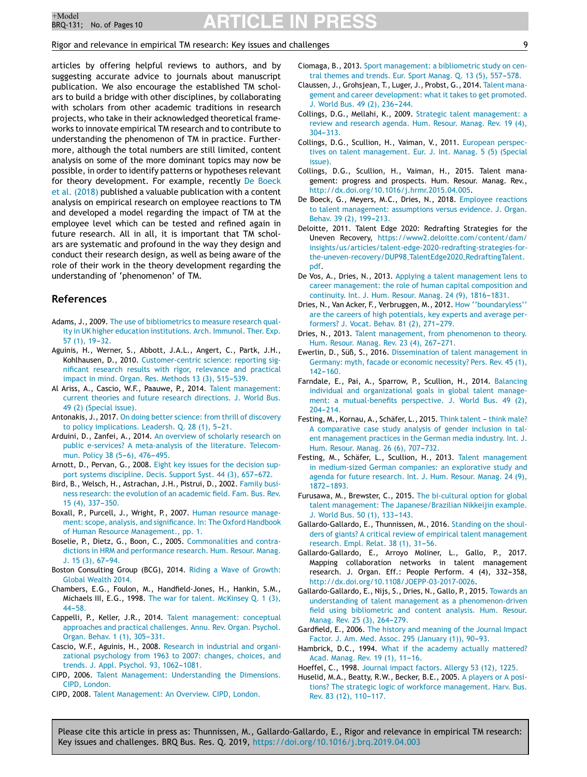### <span id="page-8-0"></span>Rigor and relevance in empirical TM research: Key issues and challenges 9

articles by offering helpful reviews to authors, and by suggesting accurate advice to journals about manuscript publication. We also encourage the established TM scholars to build a bridge with other disciplines, by collaborating with scholars from other academic traditions in research projects, who take in their acknowledged theoretical frameworks to innovate empirical TM research and to contribute to understanding the phenomenon of TM in practice. Furthermore, although the total numbers are still limited, content analysis on some of the more dominant topics may now be possible, in order to identify patterns or hypotheses relevant for theory development. For example, recently De Boeck et al. (2018) published a valuable publication with a content analysis on empirical research on employee reactions to TM and developed a model regarding the impact of TM at the employee level which can be tested and refined again in future research. All in all, it is important that TM scholars are systematic and profound in the way they design and conduct their research design, as well as being aware of the role of their work in the theory development regarding the understanding of 'phenomenon' of TM.

## **References**

- Adams, J., 2009. [The](http://refhub.elsevier.com/S2340-9436(19)30213-0/sbref0005) [use](http://refhub.elsevier.com/S2340-9436(19)30213-0/sbref0005) [of](http://refhub.elsevier.com/S2340-9436(19)30213-0/sbref0005) [bibliometrics](http://refhub.elsevier.com/S2340-9436(19)30213-0/sbref0005) [to](http://refhub.elsevier.com/S2340-9436(19)30213-0/sbref0005) [measure](http://refhub.elsevier.com/S2340-9436(19)30213-0/sbref0005) [research](http://refhub.elsevier.com/S2340-9436(19)30213-0/sbref0005) [qual](http://refhub.elsevier.com/S2340-9436(19)30213-0/sbref0005)[ity](http://refhub.elsevier.com/S2340-9436(19)30213-0/sbref0005) [in](http://refhub.elsevier.com/S2340-9436(19)30213-0/sbref0005) [UK](http://refhub.elsevier.com/S2340-9436(19)30213-0/sbref0005) [higher](http://refhub.elsevier.com/S2340-9436(19)30213-0/sbref0005) [education](http://refhub.elsevier.com/S2340-9436(19)30213-0/sbref0005) [institutions.](http://refhub.elsevier.com/S2340-9436(19)30213-0/sbref0005) [Arch.](http://refhub.elsevier.com/S2340-9436(19)30213-0/sbref0005) [Immunol.](http://refhub.elsevier.com/S2340-9436(19)30213-0/sbref0005) [Ther.](http://refhub.elsevier.com/S2340-9436(19)30213-0/sbref0005) [Exp.](http://refhub.elsevier.com/S2340-9436(19)30213-0/sbref0005)  $57(1), 19-32.$  $57(1), 19-32.$  $57(1), 19-32.$  $57(1), 19-32.$  $57(1), 19-32.$
- Aguinis, H., Werner, S., Abbott, J.A.L., Angert, C., Partk, J.H., Kohlhausen, D., 2010. [Customer-centric](http://refhub.elsevier.com/S2340-9436(19)30213-0/sbref0010) [science:](http://refhub.elsevier.com/S2340-9436(19)30213-0/sbref0010) [reporting](http://refhub.elsevier.com/S2340-9436(19)30213-0/sbref0010) [sig](http://refhub.elsevier.com/S2340-9436(19)30213-0/sbref0010)[nificant](http://refhub.elsevier.com/S2340-9436(19)30213-0/sbref0010) [research](http://refhub.elsevier.com/S2340-9436(19)30213-0/sbref0010) [results](http://refhub.elsevier.com/S2340-9436(19)30213-0/sbref0010) [with](http://refhub.elsevier.com/S2340-9436(19)30213-0/sbref0010) [rigor,](http://refhub.elsevier.com/S2340-9436(19)30213-0/sbref0010) [relevance](http://refhub.elsevier.com/S2340-9436(19)30213-0/sbref0010) [and](http://refhub.elsevier.com/S2340-9436(19)30213-0/sbref0010) [practical](http://refhub.elsevier.com/S2340-9436(19)30213-0/sbref0010) [impact](http://refhub.elsevier.com/S2340-9436(19)30213-0/sbref0010) [in](http://refhub.elsevier.com/S2340-9436(19)30213-0/sbref0010) [mind.](http://refhub.elsevier.com/S2340-9436(19)30213-0/sbref0010) [Organ.](http://refhub.elsevier.com/S2340-9436(19)30213-0/sbref0010) [Res.](http://refhub.elsevier.com/S2340-9436(19)30213-0/sbref0010) [Methods](http://refhub.elsevier.com/S2340-9436(19)30213-0/sbref0010)  $13$   $(3)$ ,  $515-539$ .
- Al Ariss, A., Cascio, W.F., Paauwe, P., 2014. [Talent](http://refhub.elsevier.com/S2340-9436(19)30213-0/sbref0015) [management:](http://refhub.elsevier.com/S2340-9436(19)30213-0/sbref0015) [current](http://refhub.elsevier.com/S2340-9436(19)30213-0/sbref0015) [theories](http://refhub.elsevier.com/S2340-9436(19)30213-0/sbref0015) [and](http://refhub.elsevier.com/S2340-9436(19)30213-0/sbref0015) [future](http://refhub.elsevier.com/S2340-9436(19)30213-0/sbref0015) [research](http://refhub.elsevier.com/S2340-9436(19)30213-0/sbref0015) [directions.](http://refhub.elsevier.com/S2340-9436(19)30213-0/sbref0015) [J.](http://refhub.elsevier.com/S2340-9436(19)30213-0/sbref0015) [World](http://refhub.elsevier.com/S2340-9436(19)30213-0/sbref0015) [Bus.](http://refhub.elsevier.com/S2340-9436(19)30213-0/sbref0015) [49](http://refhub.elsevier.com/S2340-9436(19)30213-0/sbref0015) [\(2\)](http://refhub.elsevier.com/S2340-9436(19)30213-0/sbref0015) [\(Special](http://refhub.elsevier.com/S2340-9436(19)30213-0/sbref0015) [issue\).](http://refhub.elsevier.com/S2340-9436(19)30213-0/sbref0015)
- Antonakis, J., 2017. [On](http://refhub.elsevier.com/S2340-9436(19)30213-0/sbref0020) [doing](http://refhub.elsevier.com/S2340-9436(19)30213-0/sbref0020) [better](http://refhub.elsevier.com/S2340-9436(19)30213-0/sbref0020) [science:](http://refhub.elsevier.com/S2340-9436(19)30213-0/sbref0020) [from](http://refhub.elsevier.com/S2340-9436(19)30213-0/sbref0020) [thrill](http://refhub.elsevier.com/S2340-9436(19)30213-0/sbref0020) [of](http://refhub.elsevier.com/S2340-9436(19)30213-0/sbref0020) [discovery](http://refhub.elsevier.com/S2340-9436(19)30213-0/sbref0020) [to](http://refhub.elsevier.com/S2340-9436(19)30213-0/sbref0020) [policy](http://refhub.elsevier.com/S2340-9436(19)30213-0/sbref0020) [implications.](http://refhub.elsevier.com/S2340-9436(19)30213-0/sbref0020) [Leadersh.](http://refhub.elsevier.com/S2340-9436(19)30213-0/sbref0020) [Q.](http://refhub.elsevier.com/S2340-9436(19)30213-0/sbref0020) [28](http://refhub.elsevier.com/S2340-9436(19)30213-0/sbref0020) [\(1\),](http://refhub.elsevier.com/S2340-9436(19)30213-0/sbref0020) 5-21.
- Arduini, D., Zanfei, A., 2014. [An](http://refhub.elsevier.com/S2340-9436(19)30213-0/sbref0025) [overview](http://refhub.elsevier.com/S2340-9436(19)30213-0/sbref0025) [of](http://refhub.elsevier.com/S2340-9436(19)30213-0/sbref0025) [scholarly](http://refhub.elsevier.com/S2340-9436(19)30213-0/sbref0025) [research](http://refhub.elsevier.com/S2340-9436(19)30213-0/sbref0025) [on](http://refhub.elsevier.com/S2340-9436(19)30213-0/sbref0025) [public](http://refhub.elsevier.com/S2340-9436(19)30213-0/sbref0025) [e-services?](http://refhub.elsevier.com/S2340-9436(19)30213-0/sbref0025) [A](http://refhub.elsevier.com/S2340-9436(19)30213-0/sbref0025) [meta-analysis](http://refhub.elsevier.com/S2340-9436(19)30213-0/sbref0025) [of](http://refhub.elsevier.com/S2340-9436(19)30213-0/sbref0025) [the](http://refhub.elsevier.com/S2340-9436(19)30213-0/sbref0025) [literature.](http://refhub.elsevier.com/S2340-9436(19)30213-0/sbref0025) [Telecom](http://refhub.elsevier.com/S2340-9436(19)30213-0/sbref0025)[mun.](http://refhub.elsevier.com/S2340-9436(19)30213-0/sbref0025) [Policy](http://refhub.elsevier.com/S2340-9436(19)30213-0/sbref0025) [38](http://refhub.elsevier.com/S2340-9436(19)30213-0/sbref0025) (5-6), 476-495.
- Arnott, D., Pervan, G., 2008. [Eight](http://refhub.elsevier.com/S2340-9436(19)30213-0/sbref0030) [key](http://refhub.elsevier.com/S2340-9436(19)30213-0/sbref0030) [issues](http://refhub.elsevier.com/S2340-9436(19)30213-0/sbref0030) [for](http://refhub.elsevier.com/S2340-9436(19)30213-0/sbref0030) [the](http://refhub.elsevier.com/S2340-9436(19)30213-0/sbref0030) [decision](http://refhub.elsevier.com/S2340-9436(19)30213-0/sbref0030) [sup](http://refhub.elsevier.com/S2340-9436(19)30213-0/sbref0030)[port](http://refhub.elsevier.com/S2340-9436(19)30213-0/sbref0030) [systems](http://refhub.elsevier.com/S2340-9436(19)30213-0/sbref0030) [discipline.](http://refhub.elsevier.com/S2340-9436(19)30213-0/sbref0030) [Decis.](http://refhub.elsevier.com/S2340-9436(19)30213-0/sbref0030) [Support](http://refhub.elsevier.com/S2340-9436(19)30213-0/sbref0030) [Syst.](http://refhub.elsevier.com/S2340-9436(19)30213-0/sbref0030) [44](http://refhub.elsevier.com/S2340-9436(19)30213-0/sbref0030) [\(3\),](http://refhub.elsevier.com/S2340-9436(19)30213-0/sbref0030) 657-672.
- Bird, B., Welsch, H., Astrachan, J.H., Pistrui, D., 2002. [Family](http://refhub.elsevier.com/S2340-9436(19)30213-0/sbref0035) [busi](http://refhub.elsevier.com/S2340-9436(19)30213-0/sbref0035)[ness](http://refhub.elsevier.com/S2340-9436(19)30213-0/sbref0035) [research:](http://refhub.elsevier.com/S2340-9436(19)30213-0/sbref0035) [the](http://refhub.elsevier.com/S2340-9436(19)30213-0/sbref0035) [evolution](http://refhub.elsevier.com/S2340-9436(19)30213-0/sbref0035) [of](http://refhub.elsevier.com/S2340-9436(19)30213-0/sbref0035) [an](http://refhub.elsevier.com/S2340-9436(19)30213-0/sbref0035) [academic](http://refhub.elsevier.com/S2340-9436(19)30213-0/sbref0035) [field.](http://refhub.elsevier.com/S2340-9436(19)30213-0/sbref0035) [Fam.](http://refhub.elsevier.com/S2340-9436(19)30213-0/sbref0035) [Bus.](http://refhub.elsevier.com/S2340-9436(19)30213-0/sbref0035) [Rev.](http://refhub.elsevier.com/S2340-9436(19)30213-0/sbref0035)  $15(4)$  $15(4)$ ,  $337-350$ .
- Boxall, P., Purcell, J., Wright, P., 2007. [Human](http://refhub.elsevier.com/S2340-9436(19)30213-0/sbref0040) [resource](http://refhub.elsevier.com/S2340-9436(19)30213-0/sbref0040) [manage](http://refhub.elsevier.com/S2340-9436(19)30213-0/sbref0040)[ment:](http://refhub.elsevier.com/S2340-9436(19)30213-0/sbref0040) [scope,](http://refhub.elsevier.com/S2340-9436(19)30213-0/sbref0040) [analysis,](http://refhub.elsevier.com/S2340-9436(19)30213-0/sbref0040) [and](http://refhub.elsevier.com/S2340-9436(19)30213-0/sbref0040) [significance.](http://refhub.elsevier.com/S2340-9436(19)30213-0/sbref0040) [In:](http://refhub.elsevier.com/S2340-9436(19)30213-0/sbref0040) [The](http://refhub.elsevier.com/S2340-9436(19)30213-0/sbref0040) [Oxford](http://refhub.elsevier.com/S2340-9436(19)30213-0/sbref0040) [Handbook](http://refhub.elsevier.com/S2340-9436(19)30213-0/sbref0040) [of](http://refhub.elsevier.com/S2340-9436(19)30213-0/sbref0040) [Human](http://refhub.elsevier.com/S2340-9436(19)30213-0/sbref0040) [Resource](http://refhub.elsevier.com/S2340-9436(19)30213-0/sbref0040) [Management.,](http://refhub.elsevier.com/S2340-9436(19)30213-0/sbref0040) [pp.](http://refhub.elsevier.com/S2340-9436(19)30213-0/sbref0040) [1.](http://refhub.elsevier.com/S2340-9436(19)30213-0/sbref0040)
- Boselie, P., Dietz, G., Boon, C., 2005. [Commonalities](http://refhub.elsevier.com/S2340-9436(19)30213-0/sbref0045) [and](http://refhub.elsevier.com/S2340-9436(19)30213-0/sbref0045) [contra](http://refhub.elsevier.com/S2340-9436(19)30213-0/sbref0045)[dictions](http://refhub.elsevier.com/S2340-9436(19)30213-0/sbref0045) [in](http://refhub.elsevier.com/S2340-9436(19)30213-0/sbref0045) [HRM](http://refhub.elsevier.com/S2340-9436(19)30213-0/sbref0045) [and](http://refhub.elsevier.com/S2340-9436(19)30213-0/sbref0045) [performance](http://refhub.elsevier.com/S2340-9436(19)30213-0/sbref0045) [research.](http://refhub.elsevier.com/S2340-9436(19)30213-0/sbref0045) [Hum.](http://refhub.elsevier.com/S2340-9436(19)30213-0/sbref0045) [Resour.](http://refhub.elsevier.com/S2340-9436(19)30213-0/sbref0045) [Manag.](http://refhub.elsevier.com/S2340-9436(19)30213-0/sbref0045)  $J. 15 (3), 67-94.$  $J. 15 (3), 67-94.$  $J. 15 (3), 67-94.$  $J. 15 (3), 67-94.$  $J. 15 (3), 67-94.$  $J. 15 (3), 67-94.$  $J. 15 (3), 67-94.$  $J. 15 (3), 67-94.$  $J. 15 (3), 67-94.$
- Boston Consulting Group (BCG), 2014. [Riding](http://refhub.elsevier.com/S2340-9436(19)30213-0/sbref0050) [a](http://refhub.elsevier.com/S2340-9436(19)30213-0/sbref0050) [Wave](http://refhub.elsevier.com/S2340-9436(19)30213-0/sbref0050) [of](http://refhub.elsevier.com/S2340-9436(19)30213-0/sbref0050) [Growth:](http://refhub.elsevier.com/S2340-9436(19)30213-0/sbref0050) [Global](http://refhub.elsevier.com/S2340-9436(19)30213-0/sbref0050) [Wealth](http://refhub.elsevier.com/S2340-9436(19)30213-0/sbref0050) [2014.](http://refhub.elsevier.com/S2340-9436(19)30213-0/sbref0050)
- Chambers, E.G., Foulon, M., Handfield-Jones, H., Hankin, S.M., Michaels III, E.G., 1998. [The](http://refhub.elsevier.com/S2340-9436(19)30213-0/sbref0055) [war](http://refhub.elsevier.com/S2340-9436(19)30213-0/sbref0055) [for](http://refhub.elsevier.com/S2340-9436(19)30213-0/sbref0055) [talent.](http://refhub.elsevier.com/S2340-9436(19)30213-0/sbref0055) [McKinsey](http://refhub.elsevier.com/S2340-9436(19)30213-0/sbref0055) [Q.](http://refhub.elsevier.com/S2340-9436(19)30213-0/sbref0055) [1](http://refhub.elsevier.com/S2340-9436(19)30213-0/sbref0055) [\(3\),](http://refhub.elsevier.com/S2340-9436(19)30213-0/sbref0055) [44-](http://refhub.elsevier.com/S2340-9436(19)30213-0/sbref0055)[58.](http://refhub.elsevier.com/S2340-9436(19)30213-0/sbref0055)
- Cappelli, P., Keller, J.R., 2014. [Talent](http://refhub.elsevier.com/S2340-9436(19)30213-0/sbref0060) [management:](http://refhub.elsevier.com/S2340-9436(19)30213-0/sbref0060) [conceptual](http://refhub.elsevier.com/S2340-9436(19)30213-0/sbref0060) [approaches](http://refhub.elsevier.com/S2340-9436(19)30213-0/sbref0060) [and](http://refhub.elsevier.com/S2340-9436(19)30213-0/sbref0060) [practical](http://refhub.elsevier.com/S2340-9436(19)30213-0/sbref0060) [challenges.](http://refhub.elsevier.com/S2340-9436(19)30213-0/sbref0060) [Annu.](http://refhub.elsevier.com/S2340-9436(19)30213-0/sbref0060) [Rev.](http://refhub.elsevier.com/S2340-9436(19)30213-0/sbref0060) [Organ.](http://refhub.elsevier.com/S2340-9436(19)30213-0/sbref0060) [Psychol.](http://refhub.elsevier.com/S2340-9436(19)30213-0/sbref0060) [Organ.](http://refhub.elsevier.com/S2340-9436(19)30213-0/sbref0060) [Behav.](http://refhub.elsevier.com/S2340-9436(19)30213-0/sbref0060) [1](http://refhub.elsevier.com/S2340-9436(19)30213-0/sbref0060) [\(1\),](http://refhub.elsevier.com/S2340-9436(19)30213-0/sbref0060) 305-331.
- Cascio, W.F., Aguinis, H., 2008. [Research](http://refhub.elsevier.com/S2340-9436(19)30213-0/sbref0065) [in](http://refhub.elsevier.com/S2340-9436(19)30213-0/sbref0065) [industrial](http://refhub.elsevier.com/S2340-9436(19)30213-0/sbref0065) [and](http://refhub.elsevier.com/S2340-9436(19)30213-0/sbref0065) [organi](http://refhub.elsevier.com/S2340-9436(19)30213-0/sbref0065)[zational](http://refhub.elsevier.com/S2340-9436(19)30213-0/sbref0065) [psychology](http://refhub.elsevier.com/S2340-9436(19)30213-0/sbref0065) [from](http://refhub.elsevier.com/S2340-9436(19)30213-0/sbref0065) [1963](http://refhub.elsevier.com/S2340-9436(19)30213-0/sbref0065) [to](http://refhub.elsevier.com/S2340-9436(19)30213-0/sbref0065) [2007:](http://refhub.elsevier.com/S2340-9436(19)30213-0/sbref0065) [changes,](http://refhub.elsevier.com/S2340-9436(19)30213-0/sbref0065) [choices,](http://refhub.elsevier.com/S2340-9436(19)30213-0/sbref0065) [and](http://refhub.elsevier.com/S2340-9436(19)30213-0/sbref0065) [trends.](http://refhub.elsevier.com/S2340-9436(19)30213-0/sbref0065) [J.](http://refhub.elsevier.com/S2340-9436(19)30213-0/sbref0065) [Appl.](http://refhub.elsevier.com/S2340-9436(19)30213-0/sbref0065) [Psychol.](http://refhub.elsevier.com/S2340-9436(19)30213-0/sbref0065) [93,](http://refhub.elsevier.com/S2340-9436(19)30213-0/sbref0065) 1062-1081.
- CIPD, 2006. [Talent](http://refhub.elsevier.com/S2340-9436(19)30213-0/sbref0070) [Management:](http://refhub.elsevier.com/S2340-9436(19)30213-0/sbref0070) [Understanding](http://refhub.elsevier.com/S2340-9436(19)30213-0/sbref0070) [the](http://refhub.elsevier.com/S2340-9436(19)30213-0/sbref0070) [Dimensions.](http://refhub.elsevier.com/S2340-9436(19)30213-0/sbref0070) [CIPD,](http://refhub.elsevier.com/S2340-9436(19)30213-0/sbref0070) [London.](http://refhub.elsevier.com/S2340-9436(19)30213-0/sbref0070)
- CIPD, 2008. [Talent](http://refhub.elsevier.com/S2340-9436(19)30213-0/sbref0075) [Management:](http://refhub.elsevier.com/S2340-9436(19)30213-0/sbref0075) [An](http://refhub.elsevier.com/S2340-9436(19)30213-0/sbref0075) [Overview.](http://refhub.elsevier.com/S2340-9436(19)30213-0/sbref0075) [CIPD,](http://refhub.elsevier.com/S2340-9436(19)30213-0/sbref0075) [London.](http://refhub.elsevier.com/S2340-9436(19)30213-0/sbref0075)
- Ciomaga, B., 2013. [Sport](http://refhub.elsevier.com/S2340-9436(19)30213-0/sbref0080) [management:](http://refhub.elsevier.com/S2340-9436(19)30213-0/sbref0080) [a](http://refhub.elsevier.com/S2340-9436(19)30213-0/sbref0080) [bibliometric](http://refhub.elsevier.com/S2340-9436(19)30213-0/sbref0080) [study](http://refhub.elsevier.com/S2340-9436(19)30213-0/sbref0080) [on](http://refhub.elsevier.com/S2340-9436(19)30213-0/sbref0080) [cen](http://refhub.elsevier.com/S2340-9436(19)30213-0/sbref0080)[tral](http://refhub.elsevier.com/S2340-9436(19)30213-0/sbref0080) [themes](http://refhub.elsevier.com/S2340-9436(19)30213-0/sbref0080) [and](http://refhub.elsevier.com/S2340-9436(19)30213-0/sbref0080) [trends.](http://refhub.elsevier.com/S2340-9436(19)30213-0/sbref0080) [Eur.](http://refhub.elsevier.com/S2340-9436(19)30213-0/sbref0080) [Sport](http://refhub.elsevier.com/S2340-9436(19)30213-0/sbref0080) [Manag.](http://refhub.elsevier.com/S2340-9436(19)30213-0/sbref0080) [Q.](http://refhub.elsevier.com/S2340-9436(19)30213-0/sbref0080) [13](http://refhub.elsevier.com/S2340-9436(19)30213-0/sbref0080) [\(5\),](http://refhub.elsevier.com/S2340-9436(19)30213-0/sbref0080) 557-578.
- Claussen, J., Grohsjean, T., Luger, J., Probst, G., 2014. [Talent](http://refhub.elsevier.com/S2340-9436(19)30213-0/sbref0085) [mana](http://refhub.elsevier.com/S2340-9436(19)30213-0/sbref0085)[gement](http://refhub.elsevier.com/S2340-9436(19)30213-0/sbref0085) [and](http://refhub.elsevier.com/S2340-9436(19)30213-0/sbref0085) [career](http://refhub.elsevier.com/S2340-9436(19)30213-0/sbref0085) [development:](http://refhub.elsevier.com/S2340-9436(19)30213-0/sbref0085) [what](http://refhub.elsevier.com/S2340-9436(19)30213-0/sbref0085) [it](http://refhub.elsevier.com/S2340-9436(19)30213-0/sbref0085) [takes](http://refhub.elsevier.com/S2340-9436(19)30213-0/sbref0085) [to](http://refhub.elsevier.com/S2340-9436(19)30213-0/sbref0085) [get](http://refhub.elsevier.com/S2340-9436(19)30213-0/sbref0085) [promoted.](http://refhub.elsevier.com/S2340-9436(19)30213-0/sbref0085) [J.](http://refhub.elsevier.com/S2340-9436(19)30213-0/sbref0085) [World](http://refhub.elsevier.com/S2340-9436(19)30213-0/sbref0085) [Bus.](http://refhub.elsevier.com/S2340-9436(19)30213-0/sbref0085) [49](http://refhub.elsevier.com/S2340-9436(19)30213-0/sbref0085) [\(2\),](http://refhub.elsevier.com/S2340-9436(19)30213-0/sbref0085) 236-244.
- Collings, D.G., Mellahi, K., 2009. [Strategic](http://refhub.elsevier.com/S2340-9436(19)30213-0/sbref0090) [talent](http://refhub.elsevier.com/S2340-9436(19)30213-0/sbref0090) [management:](http://refhub.elsevier.com/S2340-9436(19)30213-0/sbref0090) [a](http://refhub.elsevier.com/S2340-9436(19)30213-0/sbref0090) [review](http://refhub.elsevier.com/S2340-9436(19)30213-0/sbref0090) [and](http://refhub.elsevier.com/S2340-9436(19)30213-0/sbref0090) [research](http://refhub.elsevier.com/S2340-9436(19)30213-0/sbref0090) [agenda.](http://refhub.elsevier.com/S2340-9436(19)30213-0/sbref0090) [Hum.](http://refhub.elsevier.com/S2340-9436(19)30213-0/sbref0090) [Resour.](http://refhub.elsevier.com/S2340-9436(19)30213-0/sbref0090) [Manag.](http://refhub.elsevier.com/S2340-9436(19)30213-0/sbref0090) [Rev.](http://refhub.elsevier.com/S2340-9436(19)30213-0/sbref0090) [19](http://refhub.elsevier.com/S2340-9436(19)30213-0/sbref0090) [\(4\),](http://refhub.elsevier.com/S2340-9436(19)30213-0/sbref0090)  $304 - 313$ .
- Collings, D.G., Scullion, H., Vaiman, V., 2011. [European](http://refhub.elsevier.com/S2340-9436(19)30213-0/sbref0095) [perspec](http://refhub.elsevier.com/S2340-9436(19)30213-0/sbref0095)[tives](http://refhub.elsevier.com/S2340-9436(19)30213-0/sbref0095) [on](http://refhub.elsevier.com/S2340-9436(19)30213-0/sbref0095) [talent](http://refhub.elsevier.com/S2340-9436(19)30213-0/sbref0095) [management.](http://refhub.elsevier.com/S2340-9436(19)30213-0/sbref0095) [Eur.](http://refhub.elsevier.com/S2340-9436(19)30213-0/sbref0095) [J.](http://refhub.elsevier.com/S2340-9436(19)30213-0/sbref0095) [Int.](http://refhub.elsevier.com/S2340-9436(19)30213-0/sbref0095) [Manag.](http://refhub.elsevier.com/S2340-9436(19)30213-0/sbref0095) [5](http://refhub.elsevier.com/S2340-9436(19)30213-0/sbref0095) [\(5\)](http://refhub.elsevier.com/S2340-9436(19)30213-0/sbref0095) [\(Special](http://refhub.elsevier.com/S2340-9436(19)30213-0/sbref0095) [issue\).](http://refhub.elsevier.com/S2340-9436(19)30213-0/sbref0095)
- Collings, D.G., Scullion, H., Vaiman, H., 2015. Talent management: progress and prospects. Hum. Resour. Manag. Rev., [http://dx.doi.org/10.1016/j.hrmr.2015.04.005](dx.doi.org/10.1016/j.hrmr.2015.04.005).
- De Boeck, G., Meyers, M.C., Dries, N., 2018. [Employee](http://refhub.elsevier.com/S2340-9436(19)30213-0/sbref0105) [reactions](http://refhub.elsevier.com/S2340-9436(19)30213-0/sbref0105) [to](http://refhub.elsevier.com/S2340-9436(19)30213-0/sbref0105) [talent](http://refhub.elsevier.com/S2340-9436(19)30213-0/sbref0105) [management:](http://refhub.elsevier.com/S2340-9436(19)30213-0/sbref0105) [assumptions](http://refhub.elsevier.com/S2340-9436(19)30213-0/sbref0105) [versus](http://refhub.elsevier.com/S2340-9436(19)30213-0/sbref0105) [evidence.](http://refhub.elsevier.com/S2340-9436(19)30213-0/sbref0105) [J.](http://refhub.elsevier.com/S2340-9436(19)30213-0/sbref0105) [Organ.](http://refhub.elsevier.com/S2340-9436(19)30213-0/sbref0105) [Behav.](http://refhub.elsevier.com/S2340-9436(19)30213-0/sbref0105) [39](http://refhub.elsevier.com/S2340-9436(19)30213-0/sbref0105) [\(2\),](http://refhub.elsevier.com/S2340-9436(19)30213-0/sbref0105) 199-213.
- Deloitte, 2011. Talent Edge 2020: Redrafting Strategies for the Uneven Recovery, [https://www2.deloitte.com/content/dam/](https://www2.deloitte.com/content/dam/insights/us/articles/talent-edge-2020-redrafting-strategies-for-the-uneven-recovery/DUP98_TalentEdge2020_RedraftingTalent.pdf) [insights/us/articles/talent-edge-2020-redrafting-strategies-for](https://www2.deloitte.com/content/dam/insights/us/articles/talent-edge-2020-redrafting-strategies-for-the-uneven-recovery/DUP98_TalentEdge2020_RedraftingTalent.pdf)[the-uneven-recovery/DUP98](https://www2.deloitte.com/content/dam/insights/us/articles/talent-edge-2020-redrafting-strategies-for-the-uneven-recovery/DUP98_TalentEdge2020_RedraftingTalent.pdf) TalentEdge2020 RedraftingTalent. [pdf](https://www2.deloitte.com/content/dam/insights/us/articles/talent-edge-2020-redrafting-strategies-for-the-uneven-recovery/DUP98_TalentEdge2020_RedraftingTalent.pdf).
- De Vos, A., Dries, N., 2013. [Applying](http://refhub.elsevier.com/S2340-9436(19)30213-0/sbref0115) [a](http://refhub.elsevier.com/S2340-9436(19)30213-0/sbref0115) [talent](http://refhub.elsevier.com/S2340-9436(19)30213-0/sbref0115) [management](http://refhub.elsevier.com/S2340-9436(19)30213-0/sbref0115) [lens](http://refhub.elsevier.com/S2340-9436(19)30213-0/sbref0115) [to](http://refhub.elsevier.com/S2340-9436(19)30213-0/sbref0115) [career](http://refhub.elsevier.com/S2340-9436(19)30213-0/sbref0115) [management:](http://refhub.elsevier.com/S2340-9436(19)30213-0/sbref0115) [the](http://refhub.elsevier.com/S2340-9436(19)30213-0/sbref0115) [role](http://refhub.elsevier.com/S2340-9436(19)30213-0/sbref0115) [of](http://refhub.elsevier.com/S2340-9436(19)30213-0/sbref0115) [human](http://refhub.elsevier.com/S2340-9436(19)30213-0/sbref0115) [capital](http://refhub.elsevier.com/S2340-9436(19)30213-0/sbref0115) [composition](http://refhub.elsevier.com/S2340-9436(19)30213-0/sbref0115) [and](http://refhub.elsevier.com/S2340-9436(19)30213-0/sbref0115) [continuity.](http://refhub.elsevier.com/S2340-9436(19)30213-0/sbref0115) [Int.](http://refhub.elsevier.com/S2340-9436(19)30213-0/sbref0115) [J.](http://refhub.elsevier.com/S2340-9436(19)30213-0/sbref0115) [Hum.](http://refhub.elsevier.com/S2340-9436(19)30213-0/sbref0115) [Resour.](http://refhub.elsevier.com/S2340-9436(19)30213-0/sbref0115) [Manag.](http://refhub.elsevier.com/S2340-9436(19)30213-0/sbref0115) [24](http://refhub.elsevier.com/S2340-9436(19)30213-0/sbref0115) [\(9\),](http://refhub.elsevier.com/S2340-9436(19)30213-0/sbref0115) 1816-1831.
- Dries, N., Van Acker, F., Verbruggen, M., 2012. [How](http://refhub.elsevier.com/S2340-9436(19)30213-0/sbref0120) [''boundaryless''](http://refhub.elsevier.com/S2340-9436(19)30213-0/sbref0120) [are](http://refhub.elsevier.com/S2340-9436(19)30213-0/sbref0120) [the](http://refhub.elsevier.com/S2340-9436(19)30213-0/sbref0120) [careers](http://refhub.elsevier.com/S2340-9436(19)30213-0/sbref0120) [of](http://refhub.elsevier.com/S2340-9436(19)30213-0/sbref0120) [high](http://refhub.elsevier.com/S2340-9436(19)30213-0/sbref0120) [potentials,](http://refhub.elsevier.com/S2340-9436(19)30213-0/sbref0120) [key](http://refhub.elsevier.com/S2340-9436(19)30213-0/sbref0120) [experts](http://refhub.elsevier.com/S2340-9436(19)30213-0/sbref0120) [and](http://refhub.elsevier.com/S2340-9436(19)30213-0/sbref0120) [average](http://refhub.elsevier.com/S2340-9436(19)30213-0/sbref0120) [per](http://refhub.elsevier.com/S2340-9436(19)30213-0/sbref0120)[formers?](http://refhub.elsevier.com/S2340-9436(19)30213-0/sbref0120) [J.](http://refhub.elsevier.com/S2340-9436(19)30213-0/sbref0120) [Vocat.](http://refhub.elsevier.com/S2340-9436(19)30213-0/sbref0120) [Behav.](http://refhub.elsevier.com/S2340-9436(19)30213-0/sbref0120) [81](http://refhub.elsevier.com/S2340-9436(19)30213-0/sbref0120) [\(2\),](http://refhub.elsevier.com/S2340-9436(19)30213-0/sbref0120) 271-279.
- Dries, N., 2013. [Talent](http://refhub.elsevier.com/S2340-9436(19)30213-0/sbref0125) [management,](http://refhub.elsevier.com/S2340-9436(19)30213-0/sbref0125) [from](http://refhub.elsevier.com/S2340-9436(19)30213-0/sbref0125) [phenomenon](http://refhub.elsevier.com/S2340-9436(19)30213-0/sbref0125) [to](http://refhub.elsevier.com/S2340-9436(19)30213-0/sbref0125) [theory.](http://refhub.elsevier.com/S2340-9436(19)30213-0/sbref0125) [Hum.](http://refhub.elsevier.com/S2340-9436(19)30213-0/sbref0125) [Resour.](http://refhub.elsevier.com/S2340-9436(19)30213-0/sbref0125) [Manag.](http://refhub.elsevier.com/S2340-9436(19)30213-0/sbref0125) [Rev.](http://refhub.elsevier.com/S2340-9436(19)30213-0/sbref0125) [23](http://refhub.elsevier.com/S2340-9436(19)30213-0/sbref0125) [\(4\),](http://refhub.elsevier.com/S2340-9436(19)30213-0/sbref0125) 267-271.
- Ewerlin, D., Süß, S., 2016. [Dissemination](http://refhub.elsevier.com/S2340-9436(19)30213-0/sbref0130) [of](http://refhub.elsevier.com/S2340-9436(19)30213-0/sbref0130) [talent](http://refhub.elsevier.com/S2340-9436(19)30213-0/sbref0130) [management](http://refhub.elsevier.com/S2340-9436(19)30213-0/sbref0130) [in](http://refhub.elsevier.com/S2340-9436(19)30213-0/sbref0130) [Germany:](http://refhub.elsevier.com/S2340-9436(19)30213-0/sbref0130) [myth,](http://refhub.elsevier.com/S2340-9436(19)30213-0/sbref0130) [facade](http://refhub.elsevier.com/S2340-9436(19)30213-0/sbref0130) [or](http://refhub.elsevier.com/S2340-9436(19)30213-0/sbref0130) [economic](http://refhub.elsevier.com/S2340-9436(19)30213-0/sbref0130) [necessity?](http://refhub.elsevier.com/S2340-9436(19)30213-0/sbref0130) [Pers.](http://refhub.elsevier.com/S2340-9436(19)30213-0/sbref0130) [Rev.](http://refhub.elsevier.com/S2340-9436(19)30213-0/sbref0130) [45](http://refhub.elsevier.com/S2340-9436(19)30213-0/sbref0130) [\(1\),](http://refhub.elsevier.com/S2340-9436(19)30213-0/sbref0130)  $142 - 160$ .
- Farndale, E., Pai, A., Sparrow, P., Scullion, H., 2014. [Balancing](http://refhub.elsevier.com/S2340-9436(19)30213-0/sbref0135) [individual](http://refhub.elsevier.com/S2340-9436(19)30213-0/sbref0135) [and](http://refhub.elsevier.com/S2340-9436(19)30213-0/sbref0135) [organizational](http://refhub.elsevier.com/S2340-9436(19)30213-0/sbref0135) [goals](http://refhub.elsevier.com/S2340-9436(19)30213-0/sbref0135) [in](http://refhub.elsevier.com/S2340-9436(19)30213-0/sbref0135) [global](http://refhub.elsevier.com/S2340-9436(19)30213-0/sbref0135) [talent](http://refhub.elsevier.com/S2340-9436(19)30213-0/sbref0135) [manage](http://refhub.elsevier.com/S2340-9436(19)30213-0/sbref0135)[ment:](http://refhub.elsevier.com/S2340-9436(19)30213-0/sbref0135) [a](http://refhub.elsevier.com/S2340-9436(19)30213-0/sbref0135) [mutual-benefits](http://refhub.elsevier.com/S2340-9436(19)30213-0/sbref0135) [perspective.](http://refhub.elsevier.com/S2340-9436(19)30213-0/sbref0135) [J.](http://refhub.elsevier.com/S2340-9436(19)30213-0/sbref0135) [World](http://refhub.elsevier.com/S2340-9436(19)30213-0/sbref0135) [Bus.](http://refhub.elsevier.com/S2340-9436(19)30213-0/sbref0135) [49](http://refhub.elsevier.com/S2340-9436(19)30213-0/sbref0135) [\(2\),](http://refhub.elsevier.com/S2340-9436(19)30213-0/sbref0135)  $204 - 214$ .
- Festing, M., Kornau, A., Schäfer, L., 2015. [Think](http://refhub.elsevier.com/S2340-9436(19)30213-0/sbref0140) [talent](http://refhub.elsevier.com/S2340-9436(19)30213-0/sbref0140) [think](http://refhub.elsevier.com/S2340-9436(19)30213-0/sbref0140) [male?](http://refhub.elsevier.com/S2340-9436(19)30213-0/sbref0140) [A](http://refhub.elsevier.com/S2340-9436(19)30213-0/sbref0140) [comparative](http://refhub.elsevier.com/S2340-9436(19)30213-0/sbref0140) [case](http://refhub.elsevier.com/S2340-9436(19)30213-0/sbref0140) [study](http://refhub.elsevier.com/S2340-9436(19)30213-0/sbref0140) [analysis](http://refhub.elsevier.com/S2340-9436(19)30213-0/sbref0140) [of](http://refhub.elsevier.com/S2340-9436(19)30213-0/sbref0140) [gender](http://refhub.elsevier.com/S2340-9436(19)30213-0/sbref0140) [inclusion](http://refhub.elsevier.com/S2340-9436(19)30213-0/sbref0140) [in](http://refhub.elsevier.com/S2340-9436(19)30213-0/sbref0140) [tal](http://refhub.elsevier.com/S2340-9436(19)30213-0/sbref0140)[ent](http://refhub.elsevier.com/S2340-9436(19)30213-0/sbref0140) [management](http://refhub.elsevier.com/S2340-9436(19)30213-0/sbref0140) [practices](http://refhub.elsevier.com/S2340-9436(19)30213-0/sbref0140) [in](http://refhub.elsevier.com/S2340-9436(19)30213-0/sbref0140) [the](http://refhub.elsevier.com/S2340-9436(19)30213-0/sbref0140) [German](http://refhub.elsevier.com/S2340-9436(19)30213-0/sbref0140) [media](http://refhub.elsevier.com/S2340-9436(19)30213-0/sbref0140) [industry.](http://refhub.elsevier.com/S2340-9436(19)30213-0/sbref0140) [Int.](http://refhub.elsevier.com/S2340-9436(19)30213-0/sbref0140) [J.](http://refhub.elsevier.com/S2340-9436(19)30213-0/sbref0140) [Hum.](http://refhub.elsevier.com/S2340-9436(19)30213-0/sbref0140) [Resour.](http://refhub.elsevier.com/S2340-9436(19)30213-0/sbref0140) [Manag.](http://refhub.elsevier.com/S2340-9436(19)30213-0/sbref0140) [26](http://refhub.elsevier.com/S2340-9436(19)30213-0/sbref0140) [\(6\),](http://refhub.elsevier.com/S2340-9436(19)30213-0/sbref0140) 707-732.
- Festing, M., Schäfer, L., Scullion, H., 2013. [Talent](http://refhub.elsevier.com/S2340-9436(19)30213-0/sbref0145) [management](http://refhub.elsevier.com/S2340-9436(19)30213-0/sbref0145) [in](http://refhub.elsevier.com/S2340-9436(19)30213-0/sbref0145) [medium-sized](http://refhub.elsevier.com/S2340-9436(19)30213-0/sbref0145) [German](http://refhub.elsevier.com/S2340-9436(19)30213-0/sbref0145) [companies:](http://refhub.elsevier.com/S2340-9436(19)30213-0/sbref0145) [an](http://refhub.elsevier.com/S2340-9436(19)30213-0/sbref0145) [explorative](http://refhub.elsevier.com/S2340-9436(19)30213-0/sbref0145) [study](http://refhub.elsevier.com/S2340-9436(19)30213-0/sbref0145) [and](http://refhub.elsevier.com/S2340-9436(19)30213-0/sbref0145) [agenda](http://refhub.elsevier.com/S2340-9436(19)30213-0/sbref0145) [for](http://refhub.elsevier.com/S2340-9436(19)30213-0/sbref0145) [future](http://refhub.elsevier.com/S2340-9436(19)30213-0/sbref0145) [research.](http://refhub.elsevier.com/S2340-9436(19)30213-0/sbref0145) [Int.](http://refhub.elsevier.com/S2340-9436(19)30213-0/sbref0145) [J.](http://refhub.elsevier.com/S2340-9436(19)30213-0/sbref0145) [Hum.](http://refhub.elsevier.com/S2340-9436(19)30213-0/sbref0145) [Resour.](http://refhub.elsevier.com/S2340-9436(19)30213-0/sbref0145) [Manag.](http://refhub.elsevier.com/S2340-9436(19)30213-0/sbref0145) [24](http://refhub.elsevier.com/S2340-9436(19)30213-0/sbref0145) [\(9\),](http://refhub.elsevier.com/S2340-9436(19)30213-0/sbref0145) 1872-1893.
- Furusawa, M., Brewster, C., 2015. [The](http://refhub.elsevier.com/S2340-9436(19)30213-0/sbref0370) [bi-cultural](http://refhub.elsevier.com/S2340-9436(19)30213-0/sbref0370) [option](http://refhub.elsevier.com/S2340-9436(19)30213-0/sbref0370) [for](http://refhub.elsevier.com/S2340-9436(19)30213-0/sbref0370) [global](http://refhub.elsevier.com/S2340-9436(19)30213-0/sbref0370) [talent](http://refhub.elsevier.com/S2340-9436(19)30213-0/sbref0370) [management:](http://refhub.elsevier.com/S2340-9436(19)30213-0/sbref0370) [The](http://refhub.elsevier.com/S2340-9436(19)30213-0/sbref0370) [Japanese/Brazilian](http://refhub.elsevier.com/S2340-9436(19)30213-0/sbref0370) [Nikkeijin](http://refhub.elsevier.com/S2340-9436(19)30213-0/sbref0370) [example.](http://refhub.elsevier.com/S2340-9436(19)30213-0/sbref0370) [J.](http://refhub.elsevier.com/S2340-9436(19)30213-0/sbref0370) [World](http://refhub.elsevier.com/S2340-9436(19)30213-0/sbref0370) [Bus.](http://refhub.elsevier.com/S2340-9436(19)30213-0/sbref0370) [50](http://refhub.elsevier.com/S2340-9436(19)30213-0/sbref0370) [\(1\),](http://refhub.elsevier.com/S2340-9436(19)30213-0/sbref0370) 133-143.
- Gallardo-Gallardo, E., Thunnissen, M., 2016. [Standing](http://refhub.elsevier.com/S2340-9436(19)30213-0/sbref0150) [on](http://refhub.elsevier.com/S2340-9436(19)30213-0/sbref0150) [the](http://refhub.elsevier.com/S2340-9436(19)30213-0/sbref0150) [shoul](http://refhub.elsevier.com/S2340-9436(19)30213-0/sbref0150)[ders](http://refhub.elsevier.com/S2340-9436(19)30213-0/sbref0150) [of](http://refhub.elsevier.com/S2340-9436(19)30213-0/sbref0150) [giants?](http://refhub.elsevier.com/S2340-9436(19)30213-0/sbref0150) [A](http://refhub.elsevier.com/S2340-9436(19)30213-0/sbref0150) [critical](http://refhub.elsevier.com/S2340-9436(19)30213-0/sbref0150) [review](http://refhub.elsevier.com/S2340-9436(19)30213-0/sbref0150) [of](http://refhub.elsevier.com/S2340-9436(19)30213-0/sbref0150) [empirical](http://refhub.elsevier.com/S2340-9436(19)30213-0/sbref0150) [talent](http://refhub.elsevier.com/S2340-9436(19)30213-0/sbref0150) [management](http://refhub.elsevier.com/S2340-9436(19)30213-0/sbref0150) [research.](http://refhub.elsevier.com/S2340-9436(19)30213-0/sbref0150) [Empl.](http://refhub.elsevier.com/S2340-9436(19)30213-0/sbref0150) [Relat.](http://refhub.elsevier.com/S2340-9436(19)30213-0/sbref0150) [38](http://refhub.elsevier.com/S2340-9436(19)30213-0/sbref0150) [\(1\),](http://refhub.elsevier.com/S2340-9436(19)30213-0/sbref0150) 31-56.
- Gallardo-Gallardo, E., Arroyo Moliner, L., Gallo, P., 2017. Mapping collaboration networks in talent management research. J. Organ. Eff.: People Perform. 4 (4), 332-358, [http://dx.doi.org/10.1108/JOEPP-03-2017-0026.](dx.doi.org/10.1108/JOEPP-03-2017-0026)
- Gallardo-Gallardo, E., Nijs, S., Dries, N., Gallo, P., 2015. [Towards](http://refhub.elsevier.com/S2340-9436(19)30213-0/sbref0160) [an](http://refhub.elsevier.com/S2340-9436(19)30213-0/sbref0160) [understanding](http://refhub.elsevier.com/S2340-9436(19)30213-0/sbref0160) [of](http://refhub.elsevier.com/S2340-9436(19)30213-0/sbref0160) [talent](http://refhub.elsevier.com/S2340-9436(19)30213-0/sbref0160) [management](http://refhub.elsevier.com/S2340-9436(19)30213-0/sbref0160) [as](http://refhub.elsevier.com/S2340-9436(19)30213-0/sbref0160) [a](http://refhub.elsevier.com/S2340-9436(19)30213-0/sbref0160) [phenomenon-driven](http://refhub.elsevier.com/S2340-9436(19)30213-0/sbref0160) [field](http://refhub.elsevier.com/S2340-9436(19)30213-0/sbref0160) [using](http://refhub.elsevier.com/S2340-9436(19)30213-0/sbref0160) [bibliometric](http://refhub.elsevier.com/S2340-9436(19)30213-0/sbref0160) [and](http://refhub.elsevier.com/S2340-9436(19)30213-0/sbref0160) [content](http://refhub.elsevier.com/S2340-9436(19)30213-0/sbref0160) [analysis.](http://refhub.elsevier.com/S2340-9436(19)30213-0/sbref0160) [Hum.](http://refhub.elsevier.com/S2340-9436(19)30213-0/sbref0160) [Resour.](http://refhub.elsevier.com/S2340-9436(19)30213-0/sbref0160) [Manag.](http://refhub.elsevier.com/S2340-9436(19)30213-0/sbref0160) [Rev.](http://refhub.elsevier.com/S2340-9436(19)30213-0/sbref0160) [25](http://refhub.elsevier.com/S2340-9436(19)30213-0/sbref0160) [\(3\),](http://refhub.elsevier.com/S2340-9436(19)30213-0/sbref0160) [264](http://refhub.elsevier.com/S2340-9436(19)30213-0/sbref0160)-[279.](http://refhub.elsevier.com/S2340-9436(19)30213-0/sbref0160)
- Gardfield, E., 2006. [The](http://refhub.elsevier.com/S2340-9436(19)30213-0/sbref0165) [history](http://refhub.elsevier.com/S2340-9436(19)30213-0/sbref0165) [and](http://refhub.elsevier.com/S2340-9436(19)30213-0/sbref0165) [meaning](http://refhub.elsevier.com/S2340-9436(19)30213-0/sbref0165) [of](http://refhub.elsevier.com/S2340-9436(19)30213-0/sbref0165) [the](http://refhub.elsevier.com/S2340-9436(19)30213-0/sbref0165) [Journal](http://refhub.elsevier.com/S2340-9436(19)30213-0/sbref0165) [Impact](http://refhub.elsevier.com/S2340-9436(19)30213-0/sbref0165) [Factor.](http://refhub.elsevier.com/S2340-9436(19)30213-0/sbref0165) [J.](http://refhub.elsevier.com/S2340-9436(19)30213-0/sbref0165) [Am.](http://refhub.elsevier.com/S2340-9436(19)30213-0/sbref0165) [Med.](http://refhub.elsevier.com/S2340-9436(19)30213-0/sbref0165) [Assoc.](http://refhub.elsevier.com/S2340-9436(19)30213-0/sbref0165) [295](http://refhub.elsevier.com/S2340-9436(19)30213-0/sbref0165) [\(January](http://refhub.elsevier.com/S2340-9436(19)30213-0/sbref0165) [\(1\)\),](http://refhub.elsevier.com/S2340-9436(19)30213-0/sbref0165) [90](http://refhub.elsevier.com/S2340-9436(19)30213-0/sbref0165)-[93.](http://refhub.elsevier.com/S2340-9436(19)30213-0/sbref0165)
- Hambrick, D.C., 1994. [What](http://refhub.elsevier.com/S2340-9436(19)30213-0/sbref0170) [if](http://refhub.elsevier.com/S2340-9436(19)30213-0/sbref0170) [the](http://refhub.elsevier.com/S2340-9436(19)30213-0/sbref0170) [academy](http://refhub.elsevier.com/S2340-9436(19)30213-0/sbref0170) [actually](http://refhub.elsevier.com/S2340-9436(19)30213-0/sbref0170) [mattered?](http://refhub.elsevier.com/S2340-9436(19)30213-0/sbref0170) [Acad.](http://refhub.elsevier.com/S2340-9436(19)30213-0/sbref0170) [Manag.](http://refhub.elsevier.com/S2340-9436(19)30213-0/sbref0170) [Rev.](http://refhub.elsevier.com/S2340-9436(19)30213-0/sbref0170) [19](http://refhub.elsevier.com/S2340-9436(19)30213-0/sbref0170) [\(1\),](http://refhub.elsevier.com/S2340-9436(19)30213-0/sbref0170) [11](http://refhub.elsevier.com/S2340-9436(19)30213-0/sbref0170)-[16.](http://refhub.elsevier.com/S2340-9436(19)30213-0/sbref0170)
- Hoeffel, C., 1998. [Journal](http://refhub.elsevier.com/S2340-9436(19)30213-0/sbref0175) [impact](http://refhub.elsevier.com/S2340-9436(19)30213-0/sbref0175) [factors.](http://refhub.elsevier.com/S2340-9436(19)30213-0/sbref0175) [Allergy](http://refhub.elsevier.com/S2340-9436(19)30213-0/sbref0175) [53](http://refhub.elsevier.com/S2340-9436(19)30213-0/sbref0175) [\(12\),](http://refhub.elsevier.com/S2340-9436(19)30213-0/sbref0175) [1225.](http://refhub.elsevier.com/S2340-9436(19)30213-0/sbref0175)
- Huselid, M.A., Beatty, R.W., Becker, B.E., 2005. [A](http://refhub.elsevier.com/S2340-9436(19)30213-0/sbref0180) [players](http://refhub.elsevier.com/S2340-9436(19)30213-0/sbref0180) [or](http://refhub.elsevier.com/S2340-9436(19)30213-0/sbref0180) [A](http://refhub.elsevier.com/S2340-9436(19)30213-0/sbref0180) [posi](http://refhub.elsevier.com/S2340-9436(19)30213-0/sbref0180)[tions?](http://refhub.elsevier.com/S2340-9436(19)30213-0/sbref0180) [The](http://refhub.elsevier.com/S2340-9436(19)30213-0/sbref0180) [strategic](http://refhub.elsevier.com/S2340-9436(19)30213-0/sbref0180) [logic](http://refhub.elsevier.com/S2340-9436(19)30213-0/sbref0180) [of](http://refhub.elsevier.com/S2340-9436(19)30213-0/sbref0180) [workforce](http://refhub.elsevier.com/S2340-9436(19)30213-0/sbref0180) [management.](http://refhub.elsevier.com/S2340-9436(19)30213-0/sbref0180) [Harv.](http://refhub.elsevier.com/S2340-9436(19)30213-0/sbref0180) [Bus.](http://refhub.elsevier.com/S2340-9436(19)30213-0/sbref0180) [Rev.](http://refhub.elsevier.com/S2340-9436(19)30213-0/sbref0180) [83](http://refhub.elsevier.com/S2340-9436(19)30213-0/sbref0180) [\(12\),](http://refhub.elsevier.com/S2340-9436(19)30213-0/sbref0180) [110](http://refhub.elsevier.com/S2340-9436(19)30213-0/sbref0180)-[117.](http://refhub.elsevier.com/S2340-9436(19)30213-0/sbref0180)